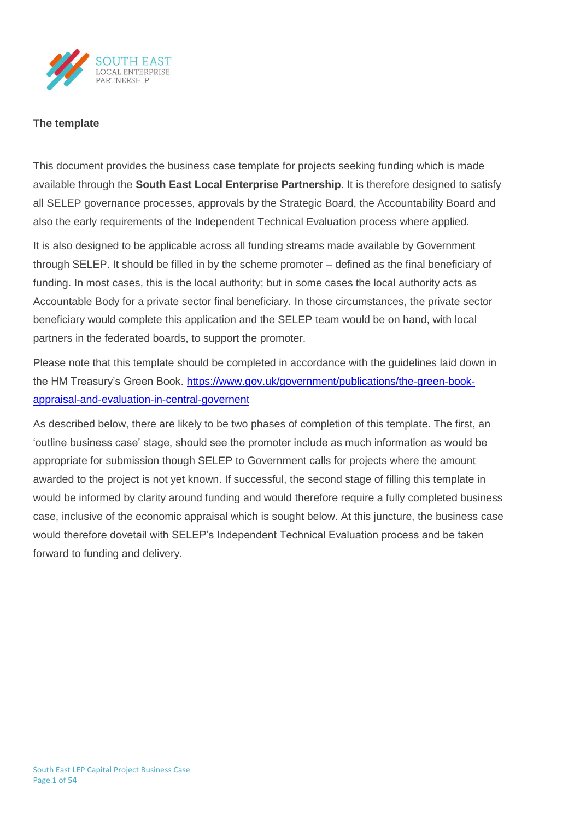

## **The template**

This document provides the business case template for projects seeking funding which is made available through the **South East Local Enterprise Partnership**. It is therefore designed to satisfy all SELEP governance processes, approvals by the Strategic Board, the Accountability Board and also the early requirements of the Independent Technical Evaluation process where applied.

It is also designed to be applicable across all funding streams made available by Government through SELEP. It should be filled in by the scheme promoter – defined as the final beneficiary of funding. In most cases, this is the local authority; but in some cases the local authority acts as Accountable Body for a private sector final beneficiary. In those circumstances, the private sector beneficiary would complete this application and the SELEP team would be on hand, with local partners in the federated boards, to support the promoter.

Please note that this template should be completed in accordance with the guidelines laid down in the HM Treasury's Green Book. [https://www.gov.uk/government/publications/the-green-book](https://www.gov.uk/government/publications/the-green-book-appraisal-and-evaluation-in-central-governent)[appraisal-and-evaluation-in-central-governent](https://www.gov.uk/government/publications/the-green-book-appraisal-and-evaluation-in-central-governent)

As described below, there are likely to be two phases of completion of this template. The first, an 'outline business case' stage, should see the promoter include as much information as would be appropriate for submission though SELEP to Government calls for projects where the amount awarded to the project is not yet known. If successful, the second stage of filling this template in would be informed by clarity around funding and would therefore require a fully completed business case, inclusive of the economic appraisal which is sought below. At this juncture, the business case would therefore dovetail with SELEP's Independent Technical Evaluation process and be taken forward to funding and delivery.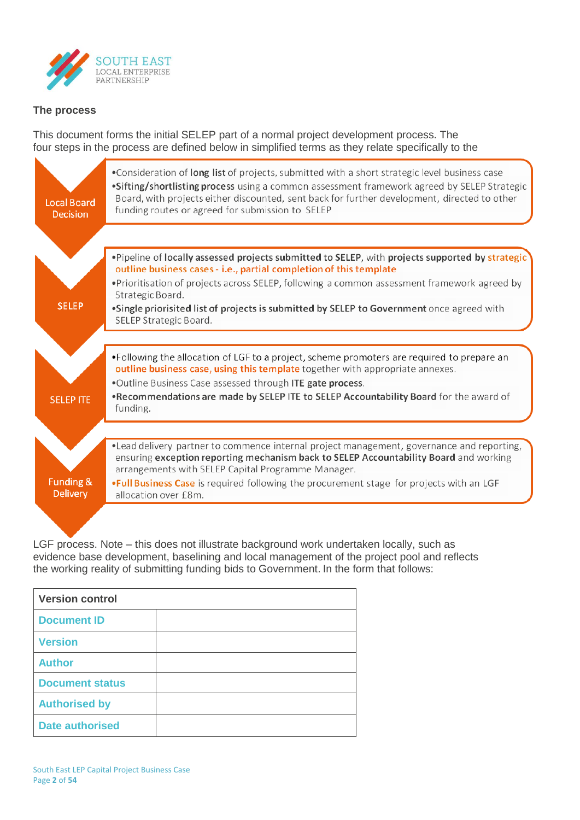

# **The process**

This document forms the initial SELEP part of a normal project development process. The four steps in the process are defined below in simplified terms as they relate specifically to the

| <b>Local Board</b><br><b>Decision</b> | •Consideration of long list of projects, submitted with a short strategic level business case<br>.Sifting/shortlisting process using a common assessment framework agreed by SELEP Strategic<br>Board, with projects either discounted, sent back for further development, directed to other<br>funding routes or agreed for submission to SELEP |
|---------------------------------------|--------------------------------------------------------------------------------------------------------------------------------------------------------------------------------------------------------------------------------------------------------------------------------------------------------------------------------------------------|
|                                       |                                                                                                                                                                                                                                                                                                                                                  |
|                                       | . Pipeline of locally assessed projects submitted to SELEP, with projects supported by strategic<br>outline business cases - i.e., partial completion of this template                                                                                                                                                                           |
|                                       | . Prioritisation of projects across SELEP, following a common assessment framework agreed by<br>Strategic Board.                                                                                                                                                                                                                                 |
| <b>SELEP</b>                          | .Single priorisited list of projects is submitted by SELEP to Government once agreed with<br>SELEP Strategic Board.                                                                                                                                                                                                                              |
|                                       |                                                                                                                                                                                                                                                                                                                                                  |
|                                       | •Following the allocation of LGF to a project, scheme promoters are required to prepare an<br>outline business case, using this template together with appropriate annexes.                                                                                                                                                                      |
|                                       | .Outline Business Case assessed through ITE gate process.                                                                                                                                                                                                                                                                                        |
| <b>SELEP ITE</b>                      | . Recommendations are made by SELEP ITE to SELEP Accountability Board for the award of<br>funding.                                                                                                                                                                                                                                               |
|                                       |                                                                                                                                                                                                                                                                                                                                                  |
|                                       | •Lead delivery partner to commence internal project management, governance and reporting,<br>ensuring exception reporting mechanism back to SELEP Accountability Board and working<br>arrangements with SELEP Capital Programme Manager.                                                                                                         |
| <b>Funding &amp;</b>                  | . Full Business Case is required following the procurement stage for projects with an LGF                                                                                                                                                                                                                                                        |

LGF process. Note – this does not illustrate background work undertaken locally, such as evidence base development, baselining and local management of the project pool and reflects the working reality of submitting funding bids to Government. In the form that follows:

| <b>Version control</b> |  |  |  |  |  |
|------------------------|--|--|--|--|--|
| <b>Document ID</b>     |  |  |  |  |  |
| <b>Version</b>         |  |  |  |  |  |
| <b>Author</b>          |  |  |  |  |  |
| <b>Document status</b> |  |  |  |  |  |
| <b>Authorised by</b>   |  |  |  |  |  |
| <b>Date authorised</b> |  |  |  |  |  |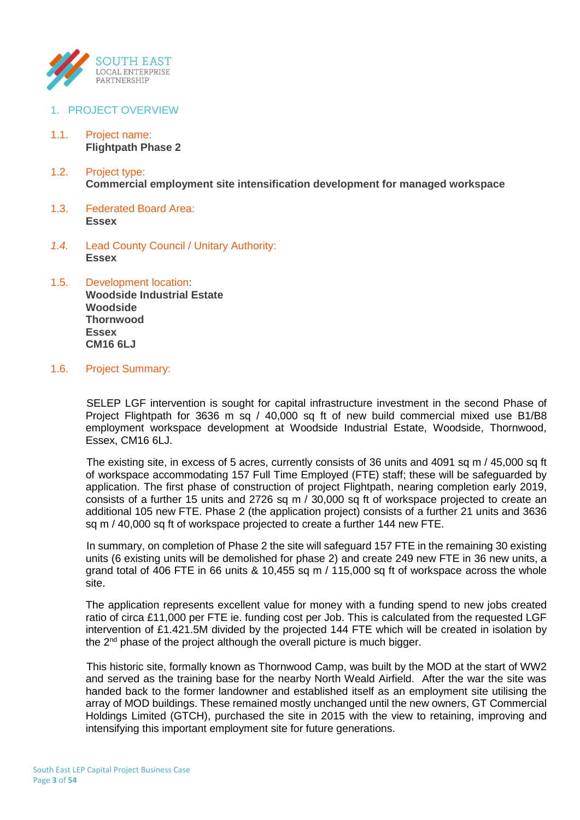

- 1. PROJECT OVERVIEW
- 1.1. Project name: **Flightpath Phase 2**
- 1.2. Project type: **Commercial employment site intensification development for managed workspace**
- 1.3. Federated Board Area: **Essex**
- *1.4.* Lead County Council / Unitary Authority: **Essex**
- 1.5. Development location: **Woodside Industrial Estate Woodside Thornwood Essex CM16 6LJ**
- 1.6. Project Summary:

SELEP LGF intervention is sought for capital infrastructure investment in the second Phase of Project Flightpath for 3636 m sq / 40,000 sq ft of new build commercial mixed use B1/B8 employment workspace development at Woodside Industrial Estate, Woodside, Thornwood, Essex, CM16 6LJ.

The existing site, in excess of 5 acres, currently consists of 36 units and 4091 sq m / 45,000 sq ft of workspace accommodating 157 Full Time Employed (FTE) staff; these will be safeguarded by application. The first phase of construction of project Flightpath, nearing completion early 2019, consists of a further 15 units and 2726 sq m / 30,000 sq ft of workspace projected to create an additional 105 new FTE. Phase 2 (the application project) consists of a further 21 units and 3636 sq m / 40,000 sq ft of workspace projected to create a further 144 new FTE.

In summary, on completion of Phase 2 the site will safeguard 157 FTE in the remaining 30 existing units (6 existing units will be demolished for phase 2) and create 249 new FTE in 36 new units, a grand total of 406 FTE in 66 units & 10,455 sq m / 115,000 sq ft of workspace across the whole site.

The application represents excellent value for money with a funding spend to new jobs created ratio of circa £11,000 per FTE ie. funding cost per Job. This is calculated from the requested LGF intervention of £1.421.5M divided by the projected 144 FTE which will be created in isolation by the 2<sup>nd</sup> phase of the project although the overall picture is much bigger.

This historic site, formally known as Thornwood Camp, was built by the MOD at the start of WW2 and served as the training base for the nearby North Weald Airfield. After the war the site was handed back to the former landowner and established itself as an employment site utilising the array of MOD buildings. These remained mostly unchanged until the new owners, GT Commercial Holdings Limited (GTCH), purchased the site in 2015 with the view to retaining, improving and intensifying this important employment site for future generations.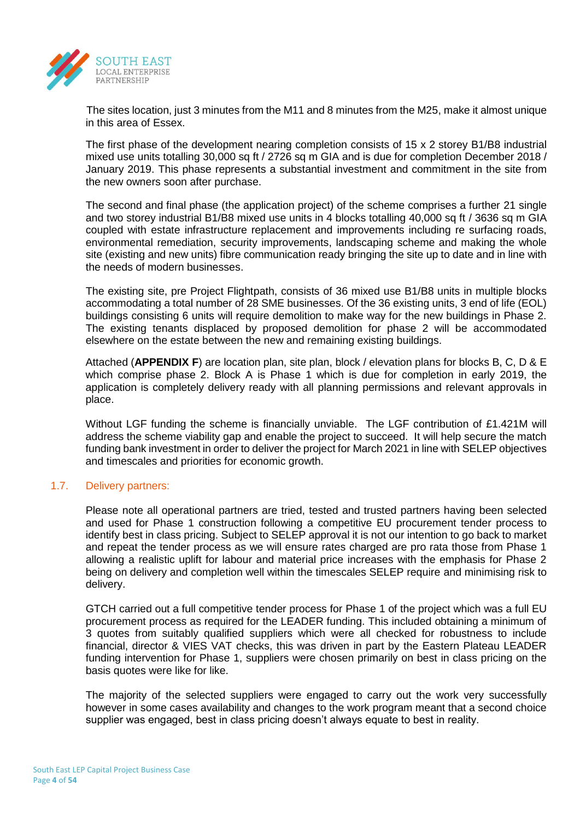

The sites location, just 3 minutes from the M11 and 8 minutes from the M25, make it almost unique in this area of Essex.

The first phase of the development nearing completion consists of 15 x 2 storey B1/B8 industrial mixed use units totalling 30,000 sq ft / 2726 sq m GIA and is due for completion December 2018 / January 2019. This phase represents a substantial investment and commitment in the site from the new owners soon after purchase.

The second and final phase (the application project) of the scheme comprises a further 21 single and two storey industrial B1/B8 mixed use units in 4 blocks totalling 40,000 sq ft / 3636 sq m GIA coupled with estate infrastructure replacement and improvements including re surfacing roads, environmental remediation, security improvements, landscaping scheme and making the whole site (existing and new units) fibre communication ready bringing the site up to date and in line with the needs of modern businesses.

The existing site, pre Project Flightpath, consists of 36 mixed use B1/B8 units in multiple blocks accommodating a total number of 28 SME businesses. Of the 36 existing units, 3 end of life (EOL) buildings consisting 6 units will require demolition to make way for the new buildings in Phase 2. The existing tenants displaced by proposed demolition for phase 2 will be accommodated elsewhere on the estate between the new and remaining existing buildings.

Attached (**APPENDIX F**) are location plan, site plan, block / elevation plans for blocks B, C, D & E which comprise phase 2. Block A is Phase 1 which is due for completion in early 2019, the application is completely delivery ready with all planning permissions and relevant approvals in place.

Without LGF funding the scheme is financially unviable. The LGF contribution of £1.421M will address the scheme viability gap and enable the project to succeed. It will help secure the match funding bank investment in order to deliver the project for March 2021 in line with SELEP objectives and timescales and priorities for economic growth.

## 1.7. Delivery partners:

Please note all operational partners are tried, tested and trusted partners having been selected and used for Phase 1 construction following a competitive EU procurement tender process to identify best in class pricing. Subject to SELEP approval it is not our intention to go back to market and repeat the tender process as we will ensure rates charged are pro rata those from Phase 1 allowing a realistic uplift for labour and material price increases with the emphasis for Phase 2 being on delivery and completion well within the timescales SELEP require and minimising risk to delivery.

GTCH carried out a full competitive tender process for Phase 1 of the project which was a full EU procurement process as required for the LEADER funding. This included obtaining a minimum of 3 quotes from suitably qualified suppliers which were all checked for robustness to include financial, director & VIES VAT checks, this was driven in part by the Eastern Plateau LEADER funding intervention for Phase 1, suppliers were chosen primarily on best in class pricing on the basis quotes were like for like.

The majority of the selected suppliers were engaged to carry out the work very successfully however in some cases availability and changes to the work program meant that a second choice supplier was engaged, best in class pricing doesn't always equate to best in reality.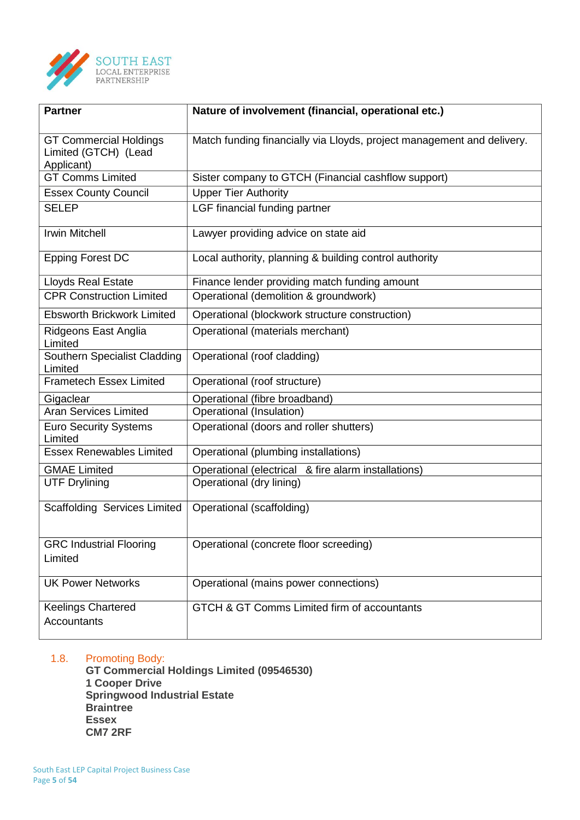

| <b>Partner</b>                                                      | Nature of involvement (financial, operational etc.)                    |
|---------------------------------------------------------------------|------------------------------------------------------------------------|
| <b>GT Commercial Holdings</b><br>Limited (GTCH) (Lead<br>Applicant) | Match funding financially via Lloyds, project management and delivery. |
| <b>GT Comms Limited</b>                                             | Sister company to GTCH (Financial cashflow support)                    |
| <b>Essex County Council</b>                                         | <b>Upper Tier Authority</b>                                            |
| <b>SELEP</b>                                                        | LGF financial funding partner                                          |
| <b>Irwin Mitchell</b>                                               | Lawyer providing advice on state aid                                   |
| <b>Epping Forest DC</b>                                             | Local authority, planning & building control authority                 |
| <b>Lloyds Real Estate</b>                                           | Finance lender providing match funding amount                          |
| <b>CPR Construction Limited</b>                                     | Operational (demolition & groundwork)                                  |
| <b>Ebsworth Brickwork Limited</b>                                   | Operational (blockwork structure construction)                         |
| Ridgeons East Anglia<br>Limited                                     | Operational (materials merchant)                                       |
| Southern Specialist Cladding<br>Limited                             | Operational (roof cladding)                                            |
| <b>Frametech Essex Limited</b>                                      | Operational (roof structure)                                           |
| Gigaclear                                                           | Operational (fibre broadband)                                          |
| <b>Aran Services Limited</b>                                        | Operational (Insulation)                                               |
| <b>Euro Security Systems</b><br>Limited                             | Operational (doors and roller shutters)                                |
| <b>Essex Renewables Limited</b>                                     | Operational (plumbing installations)                                   |
| <b>GMAE Limited</b>                                                 | Operational (electrical & fire alarm installations)                    |
| <b>UTF Drylining</b>                                                | Operational (dry lining)                                               |
| Scaffolding Services Limited                                        | Operational (scaffolding)                                              |
| <b>GRC Industrial Flooring</b><br>Limited                           | Operational (concrete floor screeding)                                 |
| <b>UK Power Networks</b>                                            | Operational (mains power connections)                                  |
| <b>Keelings Chartered</b><br><b>Accountants</b>                     | GTCH & GT Comms Limited firm of accountants                            |

# 1.8. Promoting Body:

**GT Commercial Holdings Limited (09546530) 1 Cooper Drive Springwood Industrial Estate Braintree Essex CM7 2RF**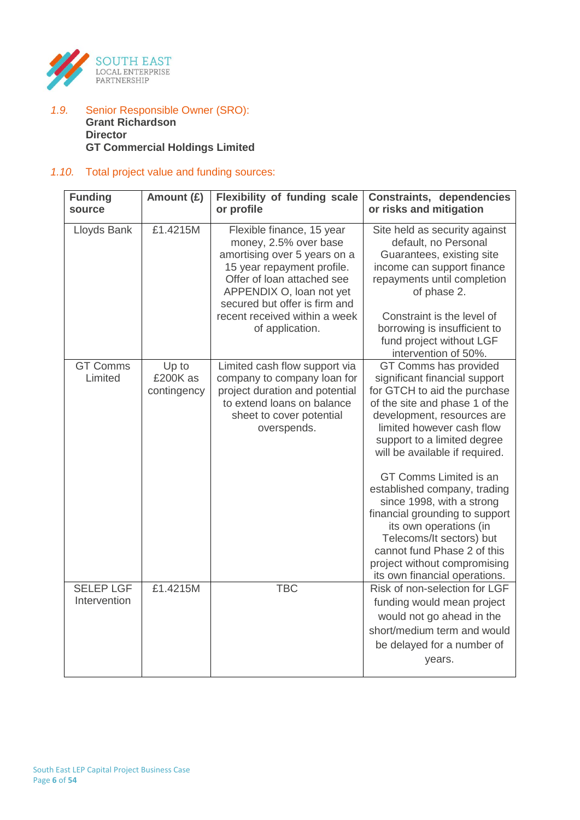

## *1.9.* Senior Responsible Owner (SRO): **Grant Richardson Director GT Commercial Holdings Limited**

# *1.10.* Total project value and funding sources:

| <b>Funding</b><br>source         | Amount (£)                       | <b>Flexibility of funding scale</b><br>or profile                                                                                                                                                                                                               | <b>Constraints, dependencies</b><br>or risks and mitigation                                                                                                                                                                                                                                                                                                                                                                                                                                                                         |
|----------------------------------|----------------------------------|-----------------------------------------------------------------------------------------------------------------------------------------------------------------------------------------------------------------------------------------------------------------|-------------------------------------------------------------------------------------------------------------------------------------------------------------------------------------------------------------------------------------------------------------------------------------------------------------------------------------------------------------------------------------------------------------------------------------------------------------------------------------------------------------------------------------|
| Lloyds Bank                      | £1.4215M                         | Flexible finance, 15 year<br>money, 2.5% over base<br>amortising over 5 years on a<br>15 year repayment profile.<br>Offer of loan attached see<br>APPENDIX O, loan not yet<br>secured but offer is firm and<br>recent received within a week<br>of application. | Site held as security against<br>default, no Personal<br>Guarantees, existing site<br>income can support finance<br>repayments until completion<br>of phase 2.<br>Constraint is the level of<br>borrowing is insufficient to<br>fund project without LGF<br>intervention of 50%.                                                                                                                                                                                                                                                    |
| <b>GT Comms</b><br>Limited       | Up to<br>£200K as<br>contingency | Limited cash flow support via<br>company to company loan for<br>project duration and potential<br>to extend loans on balance<br>sheet to cover potential<br>overspends.                                                                                         | GT Comms has provided<br>significant financial support<br>for GTCH to aid the purchase<br>of the site and phase 1 of the<br>development, resources are<br>limited however cash flow<br>support to a limited degree<br>will be available if required.<br>GT Comms Limited is an<br>established company, trading<br>since 1998, with a strong<br>financial grounding to support<br>its own operations (in<br>Telecoms/It sectors) but<br>cannot fund Phase 2 of this<br>project without compromising<br>its own financial operations. |
| <b>SELEP LGF</b><br>Intervention | £1.4215M                         | <b>TBC</b>                                                                                                                                                                                                                                                      | Risk of non-selection for LGF<br>funding would mean project<br>would not go ahead in the<br>short/medium term and would<br>be delayed for a number of<br>years.                                                                                                                                                                                                                                                                                                                                                                     |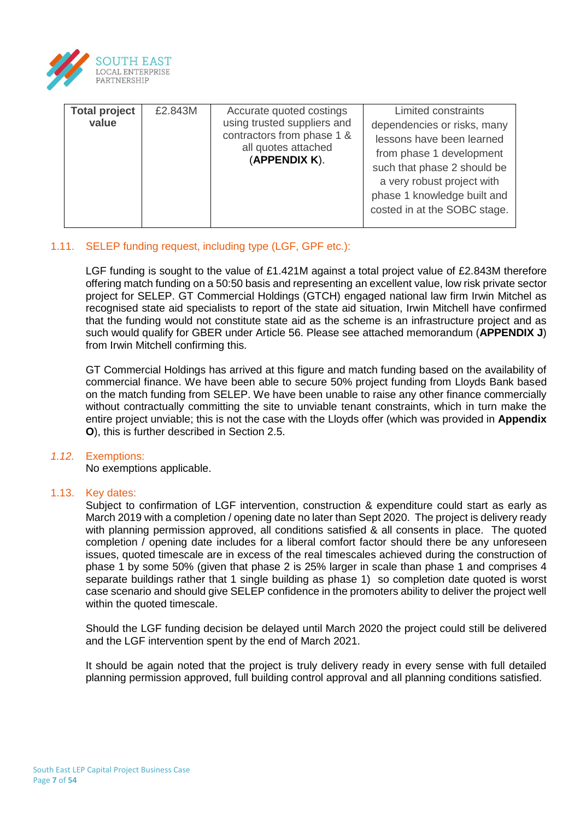

| <b>Total project</b><br>value | £2.843M | Accurate quoted costings<br>using trusted suppliers and<br>contractors from phase 1 &<br>all quotes attached<br>(APPENDIX K). | Limited constraints<br>dependencies or risks, many<br>lessons have been learned<br>from phase 1 development<br>such that phase 2 should be<br>a very robust project with<br>phase 1 knowledge built and<br>costed in at the SOBC stage. |
|-------------------------------|---------|-------------------------------------------------------------------------------------------------------------------------------|-----------------------------------------------------------------------------------------------------------------------------------------------------------------------------------------------------------------------------------------|
|-------------------------------|---------|-------------------------------------------------------------------------------------------------------------------------------|-----------------------------------------------------------------------------------------------------------------------------------------------------------------------------------------------------------------------------------------|

# 1.11. SELEP funding request, including type (LGF, GPF etc.):

LGF funding is sought to the value of £1.421M against a total project value of £2.843M therefore offering match funding on a 50:50 basis and representing an excellent value, low risk private sector project for SELEP. GT Commercial Holdings (GTCH) engaged national law firm Irwin Mitchel as recognised state aid specialists to report of the state aid situation, Irwin Mitchell have confirmed that the funding would not constitute state aid as the scheme is an infrastructure project and as such would qualify for GBER under Article 56. Please see attached memorandum (**APPENDIX J**) from Irwin Mitchell confirming this.

GT Commercial Holdings has arrived at this figure and match funding based on the availability of commercial finance. We have been able to secure 50% project funding from Lloyds Bank based on the match funding from SELEP. We have been unable to raise any other finance commercially without contractually committing the site to unviable tenant constraints, which in turn make the entire project unviable; this is not the case with the Lloyds offer (which was provided in **Appendix O**), this is further described in Section 2.5.

## *1.12.* Exemptions:

No exemptions applicable.

## 1.13. Key dates:

Subject to confirmation of LGF intervention, construction & expenditure could start as early as March 2019 with a completion / opening date no later than Sept 2020. The project is delivery ready with planning permission approved, all conditions satisfied & all consents in place. The quoted completion / opening date includes for a liberal comfort factor should there be any unforeseen issues, quoted timescale are in excess of the real timescales achieved during the construction of phase 1 by some 50% (given that phase 2 is 25% larger in scale than phase 1 and comprises 4 separate buildings rather that 1 single building as phase 1) so completion date quoted is worst case scenario and should give SELEP confidence in the promoters ability to deliver the project well within the quoted timescale.

Should the LGF funding decision be delayed until March 2020 the project could still be delivered and the LGF intervention spent by the end of March 2021.

It should be again noted that the project is truly delivery ready in every sense with full detailed planning permission approved, full building control approval and all planning conditions satisfied.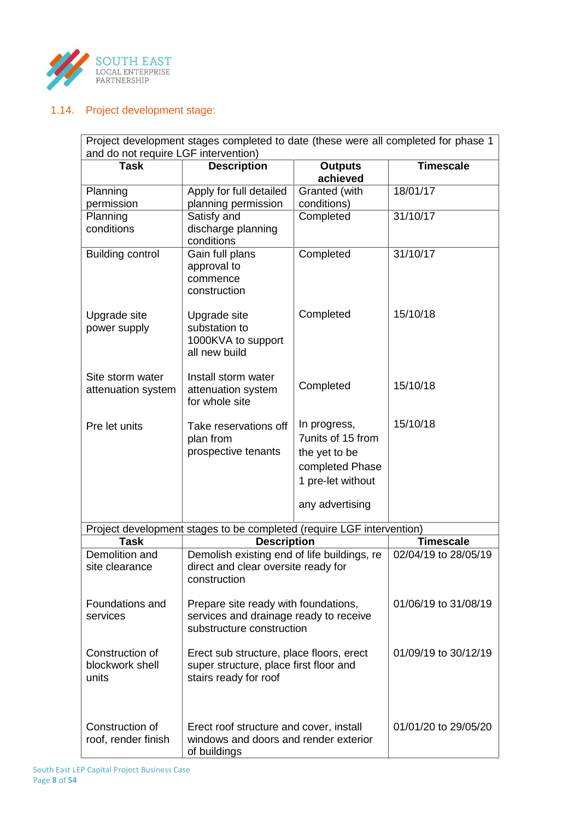

# 1.14. Project development stage:

| Project development stages completed to date (these were all completed for phase 1<br>and do not require LGF intervention) |                                                                                                             |                                   |                      |  |  |  |  |  |
|----------------------------------------------------------------------------------------------------------------------------|-------------------------------------------------------------------------------------------------------------|-----------------------------------|----------------------|--|--|--|--|--|
| <b>Task</b>                                                                                                                | <b>Description</b>                                                                                          | <b>Outputs</b><br>achieved        | <b>Timescale</b>     |  |  |  |  |  |
| Planning                                                                                                                   | Apply for full detailed                                                                                     | Granted (with                     | 18/01/17             |  |  |  |  |  |
| permission                                                                                                                 | planning permission                                                                                         | conditions)                       |                      |  |  |  |  |  |
| Planning<br>conditions                                                                                                     | Satisfy and<br>discharge planning<br>conditions                                                             | Completed                         | 31/10/17             |  |  |  |  |  |
| <b>Building control</b>                                                                                                    | Gain full plans<br>approval to<br>commence<br>construction                                                  | Completed                         | 31/10/17             |  |  |  |  |  |
| Upgrade site<br>power supply                                                                                               | Upgrade site<br>substation to<br>1000KVA to support<br>all new build                                        | Completed                         | 15/10/18             |  |  |  |  |  |
| Site storm water<br>attenuation system                                                                                     | Install storm water<br>attenuation system<br>for whole site                                                 | Completed                         | 15/10/18             |  |  |  |  |  |
| Pre let units                                                                                                              | Take reservations off<br>plan from                                                                          | In progress,<br>7units of 15 from | 15/10/18             |  |  |  |  |  |
|                                                                                                                            | prospective tenants                                                                                         | the yet to be                     |                      |  |  |  |  |  |
|                                                                                                                            |                                                                                                             | completed Phase                   |                      |  |  |  |  |  |
|                                                                                                                            |                                                                                                             | 1 pre-let without                 |                      |  |  |  |  |  |
|                                                                                                                            |                                                                                                             | any advertising                   |                      |  |  |  |  |  |
|                                                                                                                            | Project development stages to be completed (require LGF intervention)                                       |                                   |                      |  |  |  |  |  |
| <b>Task</b>                                                                                                                | <b>Description</b>                                                                                          | <b>Timescale</b>                  |                      |  |  |  |  |  |
| Demolition and<br>site clearance                                                                                           | Demolish existing end of life buildings, re<br>direct and clear oversite ready for<br>construction          |                                   | 02/04/19 to 28/05/19 |  |  |  |  |  |
| Foundations and<br>services                                                                                                | Prepare site ready with foundations,<br>services and drainage ready to receive<br>substructure construction | 01/06/19 to 31/08/19              |                      |  |  |  |  |  |
| Construction of<br>blockwork shell<br>units                                                                                | Erect sub structure, place floors, erect<br>super structure, place first floor and<br>stairs ready for roof | 01/09/19 to 30/12/19              |                      |  |  |  |  |  |
| Construction of<br>roof, render finish                                                                                     | Erect roof structure and cover, install<br>windows and doors and render exterior<br>of buildings            |                                   | 01/01/20 to 29/05/20 |  |  |  |  |  |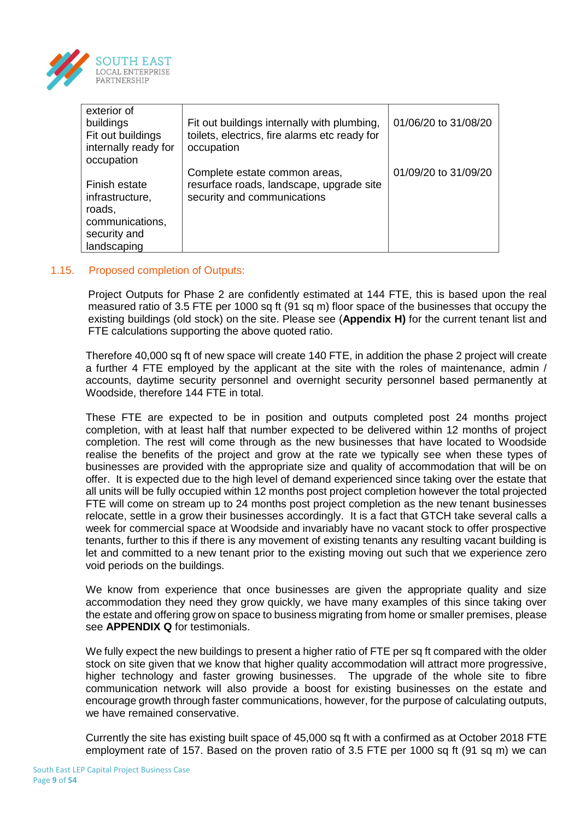

| exterior of          |                                               |                      |
|----------------------|-----------------------------------------------|----------------------|
| buildings            | Fit out buildings internally with plumbing,   | 01/06/20 to 31/08/20 |
| Fit out buildings    | toilets, electrics, fire alarms etc ready for |                      |
| internally ready for | occupation                                    |                      |
| occupation           |                                               |                      |
|                      | Complete estate common areas,                 | 01/09/20 to 31/09/20 |
| Finish estate        | resurface roads, landscape, upgrade site      |                      |
| infrastructure,      | security and communications                   |                      |
| roads,               |                                               |                      |
| communications,      |                                               |                      |
| security and         |                                               |                      |
| landscaping          |                                               |                      |

## 1.15. Proposed completion of Outputs:

Project Outputs for Phase 2 are confidently estimated at 144 FTE, this is based upon the real measured ratio of 3.5 FTE per 1000 sq ft (91 sq m) floor space of the businesses that occupy the existing buildings (old stock) on the site. Please see (**Appendix H)** for the current tenant list and FTE calculations supporting the above quoted ratio.

Therefore 40,000 sq ft of new space will create 140 FTE, in addition the phase 2 project will create a further 4 FTE employed by the applicant at the site with the roles of maintenance, admin / accounts, daytime security personnel and overnight security personnel based permanently at Woodside, therefore 144 FTE in total.

These FTE are expected to be in position and outputs completed post 24 months project completion, with at least half that number expected to be delivered within 12 months of project completion. The rest will come through as the new businesses that have located to Woodside realise the benefits of the project and grow at the rate we typically see when these types of businesses are provided with the appropriate size and quality of accommodation that will be on offer. It is expected due to the high level of demand experienced since taking over the estate that all units will be fully occupied within 12 months post project completion however the total projected FTE will come on stream up to 24 months post project completion as the new tenant businesses relocate, settle in a grow their businesses accordingly. It is a fact that GTCH take several calls a week for commercial space at Woodside and invariably have no vacant stock to offer prospective tenants, further to this if there is any movement of existing tenants any resulting vacant building is let and committed to a new tenant prior to the existing moving out such that we experience zero void periods on the buildings.

We know from experience that once businesses are given the appropriate quality and size accommodation they need they grow quickly, we have many examples of this since taking over the estate and offering grow on space to business migrating from home or smaller premises, please see **APPENDIX Q** for testimonials.

We fully expect the new buildings to present a higher ratio of FTE per sq ft compared with the older stock on site given that we know that higher quality accommodation will attract more progressive, higher technology and faster growing businesses. The upgrade of the whole site to fibre communication network will also provide a boost for existing businesses on the estate and encourage growth through faster communications, however, for the purpose of calculating outputs, we have remained conservative.

Currently the site has existing built space of 45,000 sq ft with a confirmed as at October 2018 FTE employment rate of 157. Based on the proven ratio of 3.5 FTE per 1000 sq ft (91 sq m) we can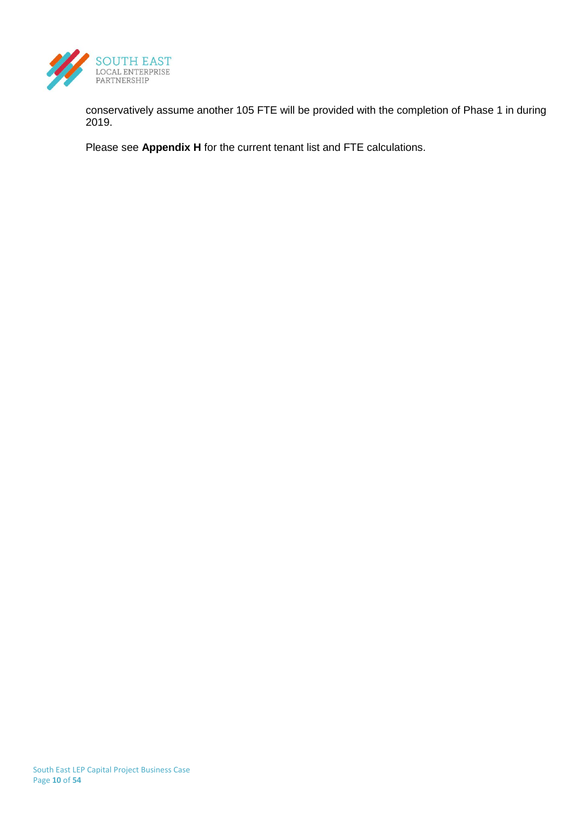

conservatively assume another 105 FTE will be provided with the completion of Phase 1 in during 2019.

Please see **Appendix H** for the current tenant list and FTE calculations.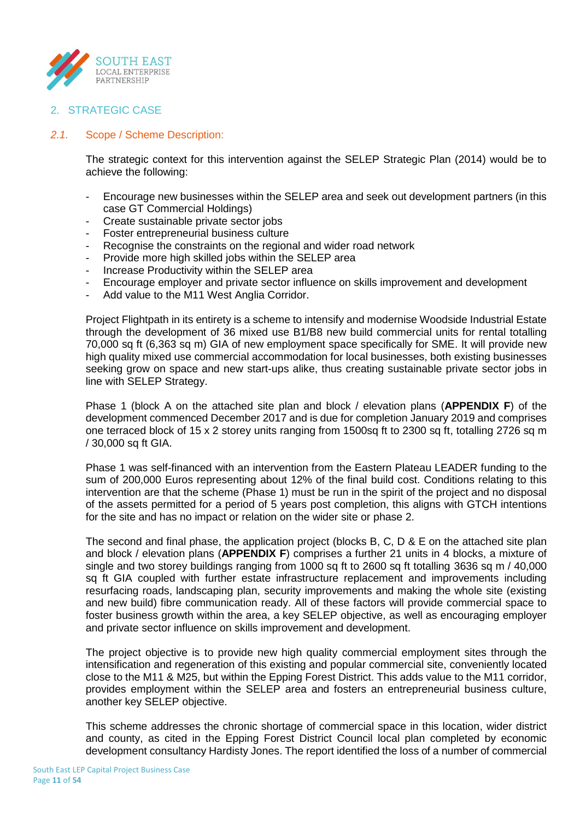

# 2. STRATEGIC CASE

## *2.1.* Scope / Scheme Description:

The strategic context for this intervention against the SELEP Strategic Plan (2014) would be to achieve the following:

- Encourage new businesses within the SELEP area and seek out development partners (in this case GT Commercial Holdings)
- Create sustainable private sector jobs
- Foster entrepreneurial business culture
- Recognise the constraints on the regional and wider road network
- Provide more high skilled jobs within the SELEP area
- Increase Productivity within the SELEP area
- Encourage employer and private sector influence on skills improvement and development
- Add value to the M11 West Anglia Corridor.

Project Flightpath in its entirety is a scheme to intensify and modernise Woodside Industrial Estate through the development of 36 mixed use B1/B8 new build commercial units for rental totalling 70,000 sq ft (6,363 sq m) GIA of new employment space specifically for SME. It will provide new high quality mixed use commercial accommodation for local businesses, both existing businesses seeking grow on space and new start-ups alike, thus creating sustainable private sector jobs in line with SELEP Strategy.

Phase 1 (block A on the attached site plan and block / elevation plans (**APPENDIX F**) of the development commenced December 2017 and is due for completion January 2019 and comprises one terraced block of 15 x 2 storey units ranging from 1500sq ft to 2300 sq ft, totalling 2726 sq m / 30,000 sq ft GIA.

Phase 1 was self-financed with an intervention from the Eastern Plateau LEADER funding to the sum of 200,000 Euros representing about 12% of the final build cost. Conditions relating to this intervention are that the scheme (Phase 1) must be run in the spirit of the project and no disposal of the assets permitted for a period of 5 years post completion, this aligns with GTCH intentions for the site and has no impact or relation on the wider site or phase 2.

The second and final phase, the application project (blocks B, C, D & E on the attached site plan and block / elevation plans (**APPENDIX F**) comprises a further 21 units in 4 blocks, a mixture of single and two storey buildings ranging from 1000 sq ft to 2600 sq ft totalling 3636 sq m / 40,000 sq ft GIA coupled with further estate infrastructure replacement and improvements including resurfacing roads, landscaping plan, security improvements and making the whole site (existing and new build) fibre communication ready. All of these factors will provide commercial space to foster business growth within the area, a key SELEP objective, as well as encouraging employer and private sector influence on skills improvement and development.

The project objective is to provide new high quality commercial employment sites through the intensification and regeneration of this existing and popular commercial site, conveniently located close to the M11 & M25, but within the Epping Forest District. This adds value to the M11 corridor, provides employment within the SELEP area and fosters an entrepreneurial business culture, another key SELEP objective.

This scheme addresses the chronic shortage of commercial space in this location, wider district and county, as cited in the Epping Forest District Council local plan completed by economic development consultancy Hardisty Jones. The report identified the loss of a number of commercial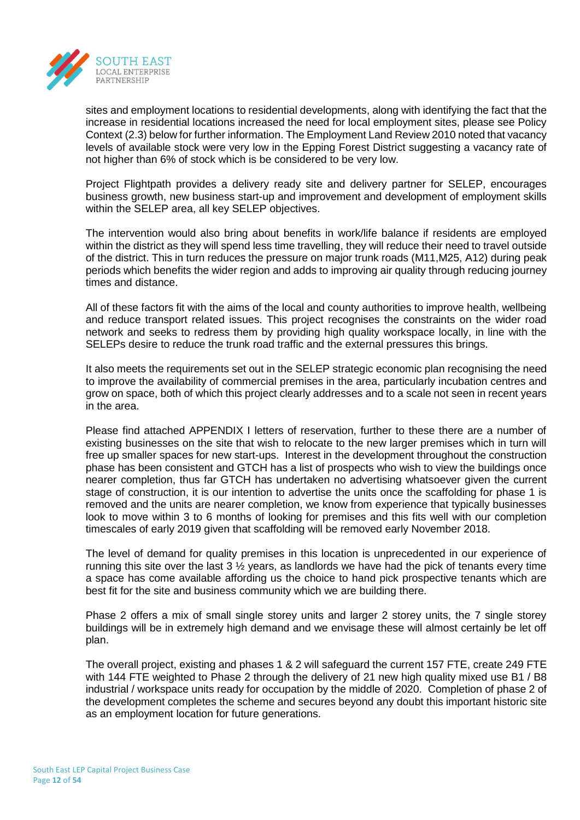

sites and employment locations to residential developments, along with identifying the fact that the increase in residential locations increased the need for local employment sites, please see Policy Context (2.3) below for further information. The Employment Land Review 2010 noted that vacancy levels of available stock were very low in the Epping Forest District suggesting a vacancy rate of not higher than 6% of stock which is be considered to be very low.

Project Flightpath provides a delivery ready site and delivery partner for SELEP, encourages business growth, new business start-up and improvement and development of employment skills within the SELEP area, all key SELEP objectives.

The intervention would also bring about benefits in work/life balance if residents are employed within the district as they will spend less time travelling, they will reduce their need to travel outside of the district. This in turn reduces the pressure on major trunk roads (M11,M25, A12) during peak periods which benefits the wider region and adds to improving air quality through reducing journey times and distance.

All of these factors fit with the aims of the local and county authorities to improve health, wellbeing and reduce transport related issues. This project recognises the constraints on the wider road network and seeks to redress them by providing high quality workspace locally, in line with the SELEPs desire to reduce the trunk road traffic and the external pressures this brings.

It also meets the requirements set out in the SELEP strategic economic plan recognising the need to improve the availability of commercial premises in the area, particularly incubation centres and grow on space, both of which this project clearly addresses and to a scale not seen in recent years in the area.

Please find attached APPENDIX I letters of reservation, further to these there are a number of existing businesses on the site that wish to relocate to the new larger premises which in turn will free up smaller spaces for new start-ups. Interest in the development throughout the construction phase has been consistent and GTCH has a list of prospects who wish to view the buildings once nearer completion, thus far GTCH has undertaken no advertising whatsoever given the current stage of construction, it is our intention to advertise the units once the scaffolding for phase 1 is removed and the units are nearer completion, we know from experience that typically businesses look to move within 3 to 6 months of looking for premises and this fits well with our completion timescales of early 2019 given that scaffolding will be removed early November 2018.

The level of demand for quality premises in this location is unprecedented in our experience of running this site over the last  $3\frac{1}{2}$  years, as landlords we have had the pick of tenants every time a space has come available affording us the choice to hand pick prospective tenants which are best fit for the site and business community which we are building there.

Phase 2 offers a mix of small single storey units and larger 2 storey units, the 7 single storey buildings will be in extremely high demand and we envisage these will almost certainly be let off plan.

The overall project, existing and phases 1 & 2 will safeguard the current 157 FTE, create 249 FTE with 144 FTE weighted to Phase 2 through the delivery of 21 new high quality mixed use B1 / B8 industrial / workspace units ready for occupation by the middle of 2020. Completion of phase 2 of the development completes the scheme and secures beyond any doubt this important historic site as an employment location for future generations.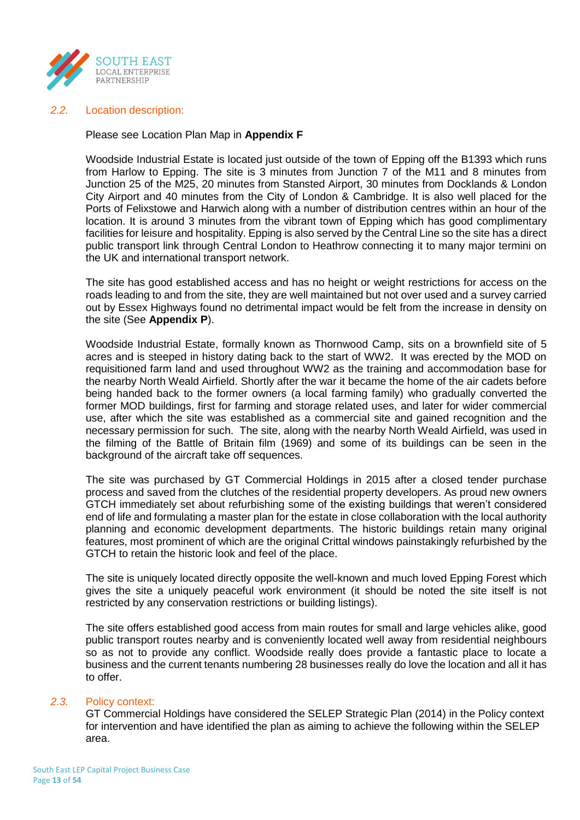

## *2.2.* Location description:

## Please see Location Plan Map in **Appendix F**

Woodside Industrial Estate is located just outside of the town of Epping off the B1393 which runs from Harlow to Epping. The site is 3 minutes from Junction 7 of the M11 and 8 minutes from Junction 25 of the M25, 20 minutes from Stansted Airport, 30 minutes from Docklands & London City Airport and 40 minutes from the City of London & Cambridge. It is also well placed for the Ports of Felixstowe and Harwich along with a number of distribution centres within an hour of the location. It is around 3 minutes from the vibrant town of Epping which has good complimentary facilities for leisure and hospitality. Epping is also served by the Central Line so the site has a direct public transport link through Central London to Heathrow connecting it to many major termini on the UK and international transport network.

The site has good established access and has no height or weight restrictions for access on the roads leading to and from the site, they are well maintained but not over used and a survey carried out by Essex Highways found no detrimental impact would be felt from the increase in density on the site (See **Appendix P**).

Woodside Industrial Estate, formally known as Thornwood Camp, sits on a brownfield site of 5 acres and is steeped in history dating back to the start of WW2. It was erected by the MOD on requisitioned farm land and used throughout WW2 as the training and accommodation base for the nearby North Weald Airfield. Shortly after the war it became the home of the air cadets before being handed back to the former owners (a local farming family) who gradually converted the former MOD buildings, first for farming and storage related uses, and later for wider commercial use, after which the site was established as a commercial site and gained recognition and the necessary permission for such. The site, along with the nearby North Weald Airfield, was used in the filming of the Battle of Britain film (1969) and some of its buildings can be seen in the background of the aircraft take off sequences.

The site was purchased by GT Commercial Holdings in 2015 after a closed tender purchase process and saved from the clutches of the residential property developers. As proud new owners GTCH immediately set about refurbishing some of the existing buildings that weren't considered end of life and formulating a master plan for the estate in close collaboration with the local authority planning and economic development departments. The historic buildings retain many original features, most prominent of which are the original Crittal windows painstakingly refurbished by the GTCH to retain the historic look and feel of the place.

The site is uniquely located directly opposite the well-known and much loved Epping Forest which gives the site a uniquely peaceful work environment (it should be noted the site itself is not restricted by any conservation restrictions or building listings).

The site offers established good access from main routes for small and large vehicles alike, good public transport routes nearby and is conveniently located well away from residential neighbours so as not to provide any conflict. Woodside really does provide a fantastic place to locate a business and the current tenants numbering 28 businesses really do love the location and all it has to offer.

## *2.3.* Policy context:

GT Commercial Holdings have considered the SELEP Strategic Plan (2014) in the Policy context for intervention and have identified the plan as aiming to achieve the following within the SELEP area.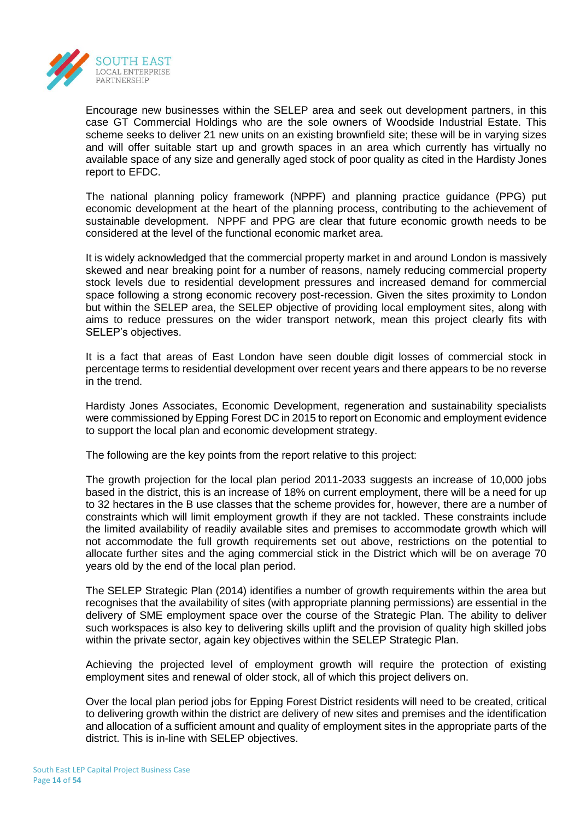

Encourage new businesses within the SELEP area and seek out development partners, in this case GT Commercial Holdings who are the sole owners of Woodside Industrial Estate. This scheme seeks to deliver 21 new units on an existing brownfield site; these will be in varying sizes and will offer suitable start up and growth spaces in an area which currently has virtually no available space of any size and generally aged stock of poor quality as cited in the Hardisty Jones report to EFDC.

The national planning policy framework (NPPF) and planning practice guidance (PPG) put economic development at the heart of the planning process, contributing to the achievement of sustainable development. NPPF and PPG are clear that future economic growth needs to be considered at the level of the functional economic market area.

It is widely acknowledged that the commercial property market in and around London is massively skewed and near breaking point for a number of reasons, namely reducing commercial property stock levels due to residential development pressures and increased demand for commercial space following a strong economic recovery post-recession. Given the sites proximity to London but within the SELEP area, the SELEP objective of providing local employment sites, along with aims to reduce pressures on the wider transport network, mean this project clearly fits with SELEP's objectives.

It is a fact that areas of East London have seen double digit losses of commercial stock in percentage terms to residential development over recent years and there appears to be no reverse in the trend.

Hardisty Jones Associates, Economic Development, regeneration and sustainability specialists were commissioned by Epping Forest DC in 2015 to report on Economic and employment evidence to support the local plan and economic development strategy.

The following are the key points from the report relative to this project:

The growth projection for the local plan period 2011-2033 suggests an increase of 10,000 jobs based in the district, this is an increase of 18% on current employment, there will be a need for up to 32 hectares in the B use classes that the scheme provides for, however, there are a number of constraints which will limit employment growth if they are not tackled. These constraints include the limited availability of readily available sites and premises to accommodate growth which will not accommodate the full growth requirements set out above, restrictions on the potential to allocate further sites and the aging commercial stick in the District which will be on average 70 years old by the end of the local plan period.

The SELEP Strategic Plan (2014) identifies a number of growth requirements within the area but recognises that the availability of sites (with appropriate planning permissions) are essential in the delivery of SME employment space over the course of the Strategic Plan. The ability to deliver such workspaces is also key to delivering skills uplift and the provision of quality high skilled jobs within the private sector, again key objectives within the SELEP Strategic Plan.

Achieving the projected level of employment growth will require the protection of existing employment sites and renewal of older stock, all of which this project delivers on.

Over the local plan period jobs for Epping Forest District residents will need to be created, critical to delivering growth within the district are delivery of new sites and premises and the identification and allocation of a sufficient amount and quality of employment sites in the appropriate parts of the district. This is in-line with SELEP objectives.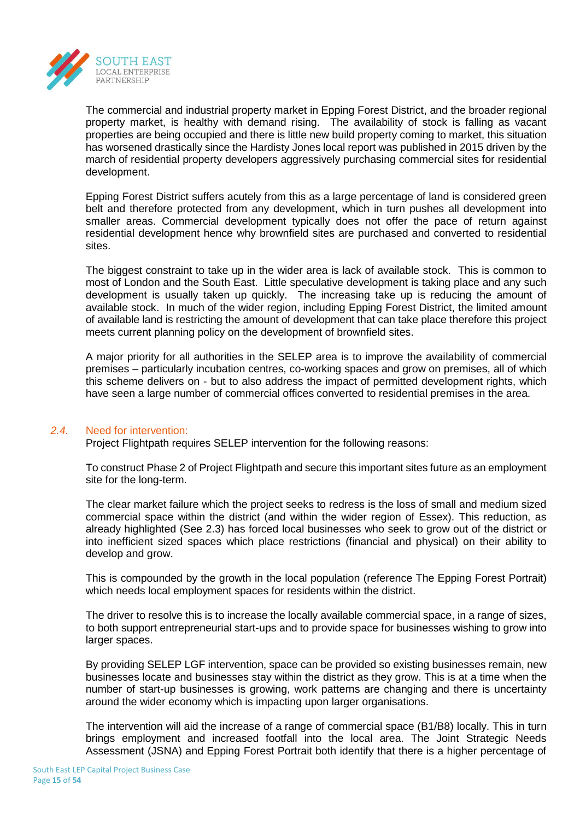

The commercial and industrial property market in Epping Forest District, and the broader regional property market, is healthy with demand rising. The availability of stock is falling as vacant properties are being occupied and there is little new build property coming to market, this situation has worsened drastically since the Hardisty Jones local report was published in 2015 driven by the march of residential property developers aggressively purchasing commercial sites for residential development.

Epping Forest District suffers acutely from this as a large percentage of land is considered green belt and therefore protected from any development, which in turn pushes all development into smaller areas. Commercial development typically does not offer the pace of return against residential development hence why brownfield sites are purchased and converted to residential sites.

The biggest constraint to take up in the wider area is lack of available stock. This is common to most of London and the South East. Little speculative development is taking place and any such development is usually taken up quickly. The increasing take up is reducing the amount of available stock. In much of the wider region, including Epping Forest District, the limited amount of available land is restricting the amount of development that can take place therefore this project meets current planning policy on the development of brownfield sites.

A major priority for all authorities in the SELEP area is to improve the availability of commercial premises – particularly incubation centres, co-working spaces and grow on premises, all of which this scheme delivers on - but to also address the impact of permitted development rights, which have seen a large number of commercial offices converted to residential premises in the area.

## *2.4.* Need for intervention:

Project Flightpath requires SELEP intervention for the following reasons:

To construct Phase 2 of Project Flightpath and secure this important sites future as an employment site for the long-term.

The clear market failure which the project seeks to redress is the loss of small and medium sized commercial space within the district (and within the wider region of Essex). This reduction, as already highlighted (See 2.3) has forced local businesses who seek to grow out of the district or into inefficient sized spaces which place restrictions (financial and physical) on their ability to develop and grow.

This is compounded by the growth in the local population (reference The Epping Forest Portrait) which needs local employment spaces for residents within the district.

The driver to resolve this is to increase the locally available commercial space, in a range of sizes, to both support entrepreneurial start-ups and to provide space for businesses wishing to grow into larger spaces.

By providing SELEP LGF intervention, space can be provided so existing businesses remain, new businesses locate and businesses stay within the district as they grow. This is at a time when the number of start-up businesses is growing, work patterns are changing and there is uncertainty around the wider economy which is impacting upon larger organisations.

The intervention will aid the increase of a range of commercial space (B1/B8) locally. This in turn brings employment and increased footfall into the local area. The Joint Strategic Needs Assessment (JSNA) and Epping Forest Portrait both identify that there is a higher percentage of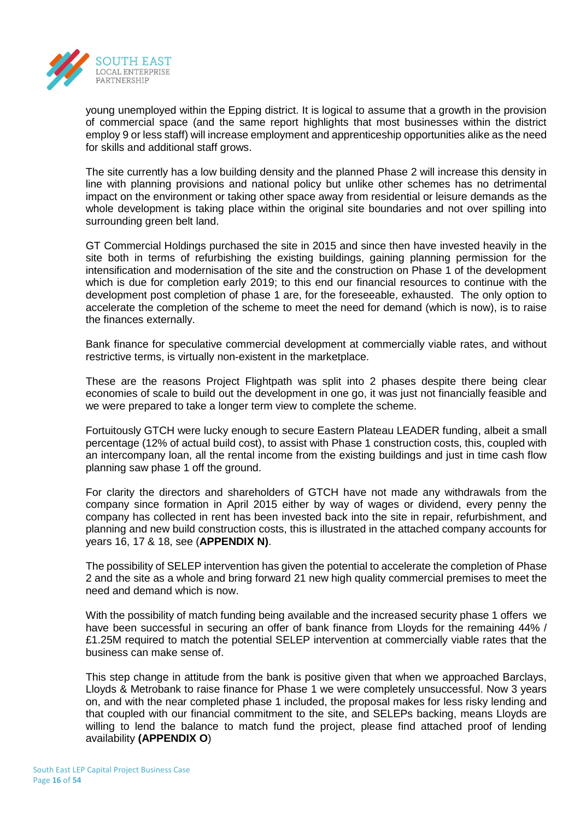

young unemployed within the Epping district. It is logical to assume that a growth in the provision of commercial space (and the same report highlights that most businesses within the district employ 9 or less staff) will increase employment and apprenticeship opportunities alike as the need for skills and additional staff grows.

The site currently has a low building density and the planned Phase 2 will increase this density in line with planning provisions and national policy but unlike other schemes has no detrimental impact on the environment or taking other space away from residential or leisure demands as the whole development is taking place within the original site boundaries and not over spilling into surrounding green belt land.

GT Commercial Holdings purchased the site in 2015 and since then have invested heavily in the site both in terms of refurbishing the existing buildings, gaining planning permission for the intensification and modernisation of the site and the construction on Phase 1 of the development which is due for completion early 2019; to this end our financial resources to continue with the development post completion of phase 1 are, for the foreseeable, exhausted. The only option to accelerate the completion of the scheme to meet the need for demand (which is now), is to raise the finances externally.

Bank finance for speculative commercial development at commercially viable rates, and without restrictive terms, is virtually non-existent in the marketplace.

These are the reasons Project Flightpath was split into 2 phases despite there being clear economies of scale to build out the development in one go, it was just not financially feasible and we were prepared to take a longer term view to complete the scheme.

Fortuitously GTCH were lucky enough to secure Eastern Plateau LEADER funding, albeit a small percentage (12% of actual build cost), to assist with Phase 1 construction costs, this, coupled with an intercompany loan, all the rental income from the existing buildings and just in time cash flow planning saw phase 1 off the ground.

For clarity the directors and shareholders of GTCH have not made any withdrawals from the company since formation in April 2015 either by way of wages or dividend, every penny the company has collected in rent has been invested back into the site in repair, refurbishment, and planning and new build construction costs, this is illustrated in the attached company accounts for years 16, 17 & 18, see (**APPENDIX N)**.

The possibility of SELEP intervention has given the potential to accelerate the completion of Phase 2 and the site as a whole and bring forward 21 new high quality commercial premises to meet the need and demand which is now.

With the possibility of match funding being available and the increased security phase 1 offers we have been successful in securing an offer of bank finance from Lloyds for the remaining 44% / £1.25M required to match the potential SELEP intervention at commercially viable rates that the business can make sense of.

This step change in attitude from the bank is positive given that when we approached Barclays, Lloyds & Metrobank to raise finance for Phase 1 we were completely unsuccessful. Now 3 years on, and with the near completed phase 1 included, the proposal makes for less risky lending and that coupled with our financial commitment to the site, and SELEPs backing, means Lloyds are willing to lend the balance to match fund the project, please find attached proof of lending availability **(APPENDIX O**)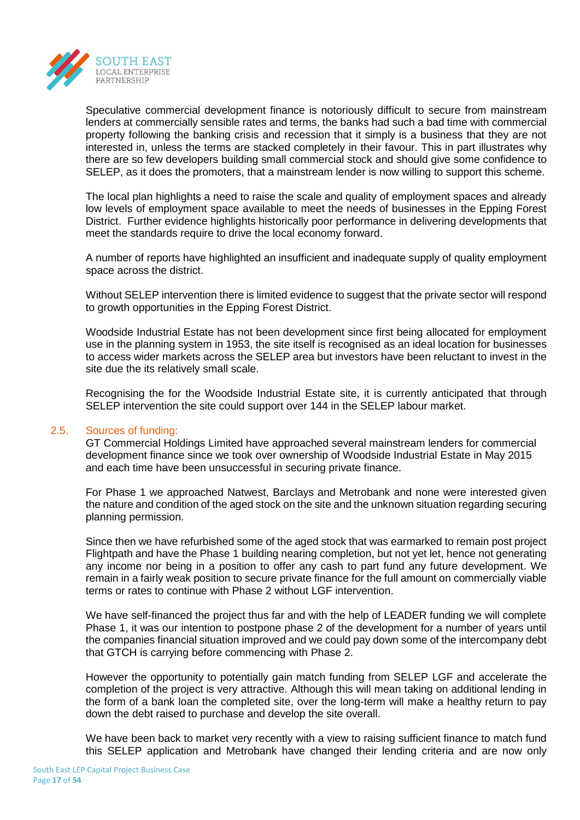

Speculative commercial development finance is notoriously difficult to secure from mainstream lenders at commercially sensible rates and terms, the banks had such a bad time with commercial property following the banking crisis and recession that it simply is a business that they are not interested in, unless the terms are stacked completely in their favour. This in part illustrates why there are so few developers building small commercial stock and should give some confidence to SELEP, as it does the promoters, that a mainstream lender is now willing to support this scheme.

The local plan highlights a need to raise the scale and quality of employment spaces and already low levels of employment space available to meet the needs of businesses in the Epping Forest District. Further evidence highlights historically poor performance in delivering developments that meet the standards require to drive the local economy forward.

A number of reports have highlighted an insufficient and inadequate supply of quality employment space across the district.

Without SELEP intervention there is limited evidence to suggest that the private sector will respond to growth opportunities in the Epping Forest District.

Woodside Industrial Estate has not been development since first being allocated for employment use in the planning system in 1953, the site itself is recognised as an ideal location for businesses to access wider markets across the SELEP area but investors have been reluctant to invest in the site due the its relatively small scale.

Recognising the for the Woodside Industrial Estate site, it is currently anticipated that through SELEP intervention the site could support over 144 in the SELEP labour market.

## 2.5. Sources of funding:

GT Commercial Holdings Limited have approached several mainstream lenders for commercial development finance since we took over ownership of Woodside Industrial Estate in May 2015 and each time have been unsuccessful in securing private finance.

For Phase 1 we approached Natwest, Barclays and Metrobank and none were interested given the nature and condition of the aged stock on the site and the unknown situation regarding securing planning permission.

Since then we have refurbished some of the aged stock that was earmarked to remain post project Flightpath and have the Phase 1 building nearing completion, but not yet let, hence not generating any income nor being in a position to offer any cash to part fund any future development. We remain in a fairly weak position to secure private finance for the full amount on commercially viable terms or rates to continue with Phase 2 without LGF intervention.

We have self-financed the project thus far and with the help of LEADER funding we will complete Phase 1, it was our intention to postpone phase 2 of the development for a number of years until the companies financial situation improved and we could pay down some of the intercompany debt that GTCH is carrying before commencing with Phase 2.

However the opportunity to potentially gain match funding from SELEP LGF and accelerate the completion of the project is very attractive. Although this will mean taking on additional lending in the form of a bank loan the completed site, over the long-term will make a healthy return to pay down the debt raised to purchase and develop the site overall.

We have been back to market very recently with a view to raising sufficient finance to match fund this SELEP application and Metrobank have changed their lending criteria and are now only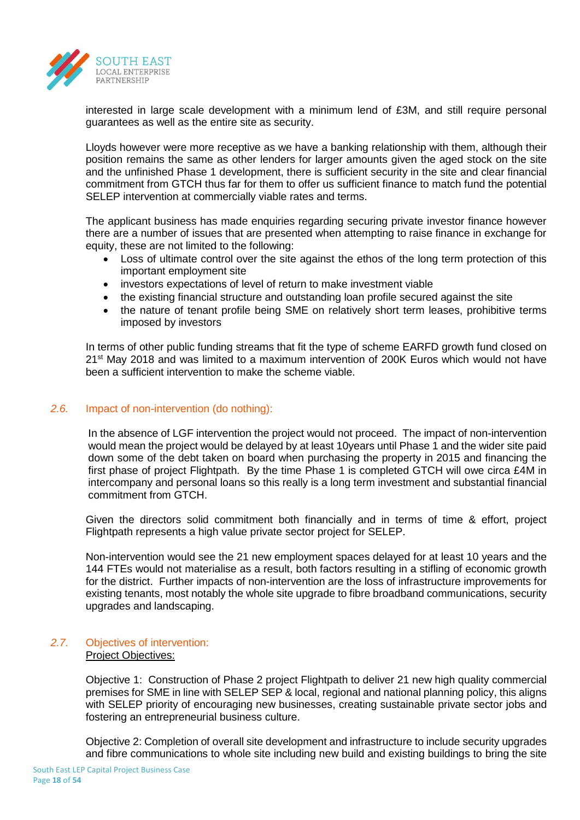

interested in large scale development with a minimum lend of £3M, and still require personal guarantees as well as the entire site as security.

Lloyds however were more receptive as we have a banking relationship with them, although their position remains the same as other lenders for larger amounts given the aged stock on the site and the unfinished Phase 1 development, there is sufficient security in the site and clear financial commitment from GTCH thus far for them to offer us sufficient finance to match fund the potential SELEP intervention at commercially viable rates and terms.

The applicant business has made enquiries regarding securing private investor finance however there are a number of issues that are presented when attempting to raise finance in exchange for equity, these are not limited to the following:

- Loss of ultimate control over the site against the ethos of the long term protection of this important employment site
- investors expectations of level of return to make investment viable
- the existing financial structure and outstanding loan profile secured against the site
- the nature of tenant profile being SME on relatively short term leases, prohibitive terms imposed by investors

In terms of other public funding streams that fit the type of scheme EARFD growth fund closed on 21st May 2018 and was limited to a maximum intervention of 200K Euros which would not have been a sufficient intervention to make the scheme viable.

## *2.6.* Impact of non-intervention (do nothing):

In the absence of LGF intervention the project would not proceed. The impact of non-intervention would mean the project would be delayed by at least 10years until Phase 1 and the wider site paid down some of the debt taken on board when purchasing the property in 2015 and financing the first phase of project Flightpath. By the time Phase 1 is completed GTCH will owe circa £4M in intercompany and personal loans so this really is a long term investment and substantial financial commitment from GTCH.

Given the directors solid commitment both financially and in terms of time & effort, project Flightpath represents a high value private sector project for SELEP.

Non-intervention would see the 21 new employment spaces delayed for at least 10 years and the 144 FTEs would not materialise as a result, both factors resulting in a stifling of economic growth for the district. Further impacts of non-intervention are the loss of infrastructure improvements for existing tenants, most notably the whole site upgrade to fibre broadband communications, security upgrades and landscaping.

## *2.7.* Objectives of intervention: Project Objectives:

Objective 1: Construction of Phase 2 project Flightpath to deliver 21 new high quality commercial premises for SME in line with SELEP SEP & local, regional and national planning policy, this aligns with SELEP priority of encouraging new businesses, creating sustainable private sector jobs and fostering an entrepreneurial business culture.

Objective 2: Completion of overall site development and infrastructure to include security upgrades and fibre communications to whole site including new build and existing buildings to bring the site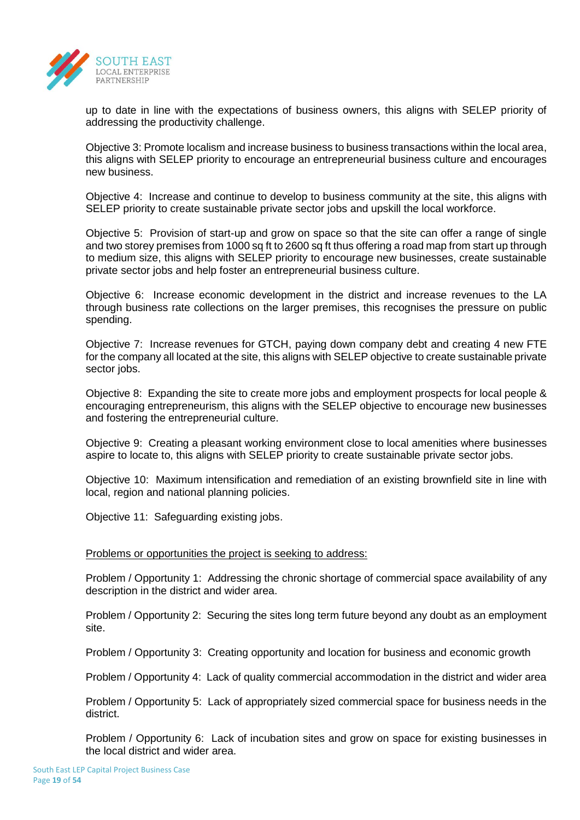

up to date in line with the expectations of business owners, this aligns with SELEP priority of addressing the productivity challenge.

Objective 3: Promote localism and increase business to business transactions within the local area, this aligns with SELEP priority to encourage an entrepreneurial business culture and encourages new business.

Objective 4: Increase and continue to develop to business community at the site, this aligns with SELEP priority to create sustainable private sector jobs and upskill the local workforce.

Objective 5: Provision of start-up and grow on space so that the site can offer a range of single and two storey premises from 1000 sq ft to 2600 sq ft thus offering a road map from start up through to medium size, this aligns with SELEP priority to encourage new businesses, create sustainable private sector jobs and help foster an entrepreneurial business culture.

Objective 6: Increase economic development in the district and increase revenues to the LA through business rate collections on the larger premises, this recognises the pressure on public spending.

Objective 7: Increase revenues for GTCH, paying down company debt and creating 4 new FTE for the company all located at the site, this aligns with SELEP objective to create sustainable private sector jobs.

Objective 8: Expanding the site to create more jobs and employment prospects for local people & encouraging entrepreneurism, this aligns with the SELEP objective to encourage new businesses and fostering the entrepreneurial culture.

Objective 9: Creating a pleasant working environment close to local amenities where businesses aspire to locate to, this aligns with SELEP priority to create sustainable private sector jobs.

Objective 10: Maximum intensification and remediation of an existing brownfield site in line with local, region and national planning policies.

Objective 11: Safeguarding existing jobs.

## Problems or opportunities the project is seeking to address:

Problem / Opportunity 1: Addressing the chronic shortage of commercial space availability of any description in the district and wider area.

Problem / Opportunity 2: Securing the sites long term future beyond any doubt as an employment site.

Problem / Opportunity 3: Creating opportunity and location for business and economic growth

Problem / Opportunity 4: Lack of quality commercial accommodation in the district and wider area

Problem / Opportunity 5: Lack of appropriately sized commercial space for business needs in the district.

Problem / Opportunity 6: Lack of incubation sites and grow on space for existing businesses in the local district and wider area.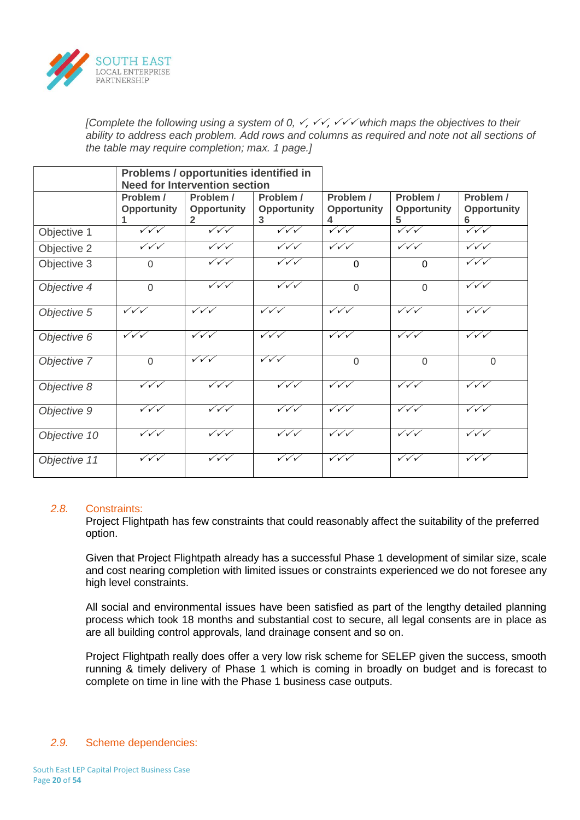

*[Complete the following using a system of 0,*  $\checkmark$ *,*  $\checkmark\checkmark$ *,*  $\checkmark\checkmark$  *which maps the objectives to their in ability to address each problem. Add rows and columns as required and note not all sections of the table may require completion; max. 1 page.]*

|              |                                  | Problems / opportunities identified in |                                  |                                  |                                  |                                  |
|--------------|----------------------------------|----------------------------------------|----------------------------------|----------------------------------|----------------------------------|----------------------------------|
|              |                                  | <b>Need for Intervention section</b>   |                                  |                                  |                                  |                                  |
|              | Problem /                        | Problem /                              | Problem /                        | Problem /                        | Problem /                        | Problem /                        |
|              | <b>Opportunity</b>               | Opportunity                            | <b>Opportunity</b>               | <b>Opportunity</b>               | <b>Opportunity</b>               | <b>Opportunity</b>               |
|              |                                  | 2                                      | 3                                |                                  |                                  | რ                                |
| Objective 1  | $\sqrt{\sqrt{}}$                 | $\checkmark\checkmark\checkmark$       | $\sqrt{\sqrt{}}$                 | $\sqrt{\sqrt{}}$                 | $\sqrt{\sqrt{}}$                 | $\checkmark\checkmark$           |
| Objective 2  | $\checkmark\checkmark\checkmark$ | $\checkmark\checkmark\checkmark$       | $\checkmark\checkmark\checkmark$ | $\checkmark\checkmark\checkmark$ | $\checkmark\checkmark\checkmark$ | $\checkmark\checkmark\checkmark$ |
| Objective 3  | $\mathbf{0}$                     | $\sqrt{\sqrt{}}$                       | $\checkmark\checkmark\checkmark$ | $\Omega$                         | $\mathbf{0}$                     | $\checkmark\checkmark\checkmark$ |
| Objective 4  | $\overline{0}$                   | $\sqrt{\sqrt{}}$                       | $\sqrt{\sqrt{}}$                 | $\Omega$                         | $\Omega$                         | $\checkmark\checkmark\checkmark$ |
| Objective 5  | $\sqrt{\sqrt{}}$                 | $\sqrt{\sqrt{}}$                       | $\sqrt{\sqrt{}}$                 | $\sqrt{\sqrt{}}$                 | $\sqrt{\sqrt{}}$                 | $\checkmark\checkmark\checkmark$ |
| Objective 6  | $\sqrt{\sqrt{}}$                 | $\sqrt{\sqrt{}}$                       | $\sqrt{\sqrt{}}$                 | $\sqrt{\sqrt{}}$                 | $\sqrt{\sqrt{}}$                 | $\checkmark\checkmark\checkmark$ |
| Objective 7  | $\Omega$                         | $\sqrt{\sqrt{}}$                       | $\sqrt{\sqrt{}}$                 | $\Omega$                         | $\Omega$                         | $\mathbf 0$                      |
| Objective 8  | $\checkmark\checkmark\checkmark$ | $\sqrt{\sqrt{}}$                       | $\sqrt{\sqrt{}}$                 | $\sqrt{\sqrt{}}$                 | $\sqrt{\sqrt{}}$                 | $\sqrt{\sqrt{}}$                 |
| Objective 9  | $\checkmark\checkmark\checkmark$ | $\sqrt{\sqrt{}}$                       | $\checkmark\checkmark\checkmark$ | $\sqrt{\sqrt{}}$                 | $\checkmark\checkmark\checkmark$ | $\checkmark\checkmark\checkmark$ |
| Objective 10 | $\sqrt{\sqrt{}}$                 | $\checkmark\checkmark\checkmark$       | $\sqrt{\sqrt{}}$                 | $\sqrt{\sqrt{}}$                 | $\checkmark\checkmark\checkmark$ | $\checkmark\checkmark\checkmark$ |
| Objective 11 | $\checkmark\checkmark\checkmark$ | $\sqrt{\sqrt{}}$                       | $\checkmark\checkmark\checkmark$ | $\checkmark\checkmark\checkmark$ | $\checkmark\checkmark\checkmark$ | $\checkmark\checkmark\checkmark$ |

## *2.8.* Constraints:

Project Flightpath has few constraints that could reasonably affect the suitability of the preferred option.

Given that Project Flightpath already has a successful Phase 1 development of similar size, scale and cost nearing completion with limited issues or constraints experienced we do not foresee any high level constraints.

All social and environmental issues have been satisfied as part of the lengthy detailed planning process which took 18 months and substantial cost to secure, all legal consents are in place as are all building control approvals, land drainage consent and so on.

Project Flightpath really does offer a very low risk scheme for SELEP given the success, smooth running & timely delivery of Phase 1 which is coming in broadly on budget and is forecast to complete on time in line with the Phase 1 business case outputs.

## *2.9.* Scheme dependencies: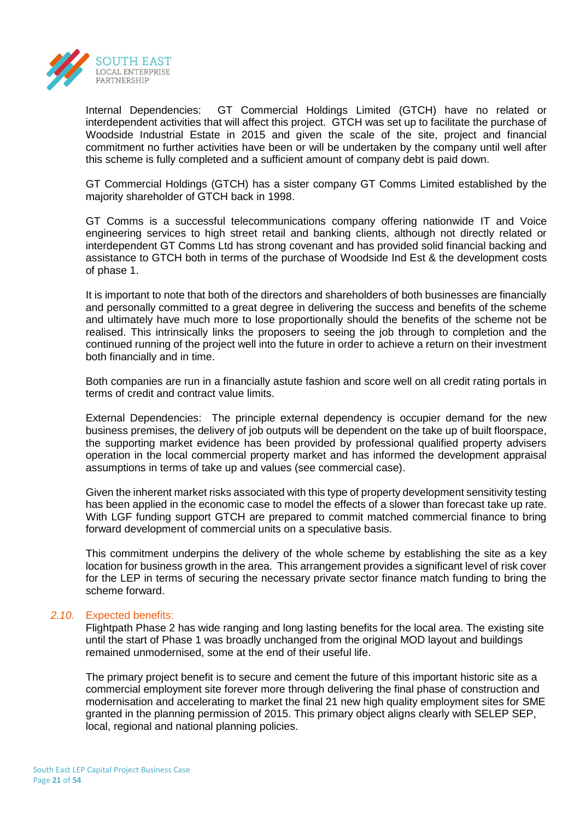

Internal Dependencies: GT Commercial Holdings Limited (GTCH) have no related or interdependent activities that will affect this project. GTCH was set up to facilitate the purchase of Woodside Industrial Estate in 2015 and given the scale of the site, project and financial commitment no further activities have been or will be undertaken by the company until well after this scheme is fully completed and a sufficient amount of company debt is paid down.

GT Commercial Holdings (GTCH) has a sister company GT Comms Limited established by the majority shareholder of GTCH back in 1998.

GT Comms is a successful telecommunications company offering nationwide IT and Voice engineering services to high street retail and banking clients, although not directly related or interdependent GT Comms Ltd has strong covenant and has provided solid financial backing and assistance to GTCH both in terms of the purchase of Woodside Ind Est & the development costs of phase 1.

It is important to note that both of the directors and shareholders of both businesses are financially and personally committed to a great degree in delivering the success and benefits of the scheme and ultimately have much more to lose proportionally should the benefits of the scheme not be realised. This intrinsically links the proposers to seeing the job through to completion and the continued running of the project well into the future in order to achieve a return on their investment both financially and in time.

Both companies are run in a financially astute fashion and score well on all credit rating portals in terms of credit and contract value limits.

External Dependencies: The principle external dependency is occupier demand for the new business premises, the delivery of job outputs will be dependent on the take up of built floorspace, the supporting market evidence has been provided by professional qualified property advisers operation in the local commercial property market and has informed the development appraisal assumptions in terms of take up and values (see commercial case).

Given the inherent market risks associated with this type of property development sensitivity testing has been applied in the economic case to model the effects of a slower than forecast take up rate. With LGF funding support GTCH are prepared to commit matched commercial finance to bring forward development of commercial units on a speculative basis.

This commitment underpins the delivery of the whole scheme by establishing the site as a key location for business growth in the area. This arrangement provides a significant level of risk cover for the LEP in terms of securing the necessary private sector finance match funding to bring the scheme forward.

## *2.10.* Expected benefits:

Flightpath Phase 2 has wide ranging and long lasting benefits for the local area. The existing site until the start of Phase 1 was broadly unchanged from the original MOD layout and buildings remained unmodernised, some at the end of their useful life.

The primary project benefit is to secure and cement the future of this important historic site as a commercial employment site forever more through delivering the final phase of construction and modernisation and accelerating to market the final 21 new high quality employment sites for SME granted in the planning permission of 2015. This primary object aligns clearly with SELEP SEP, local, regional and national planning policies.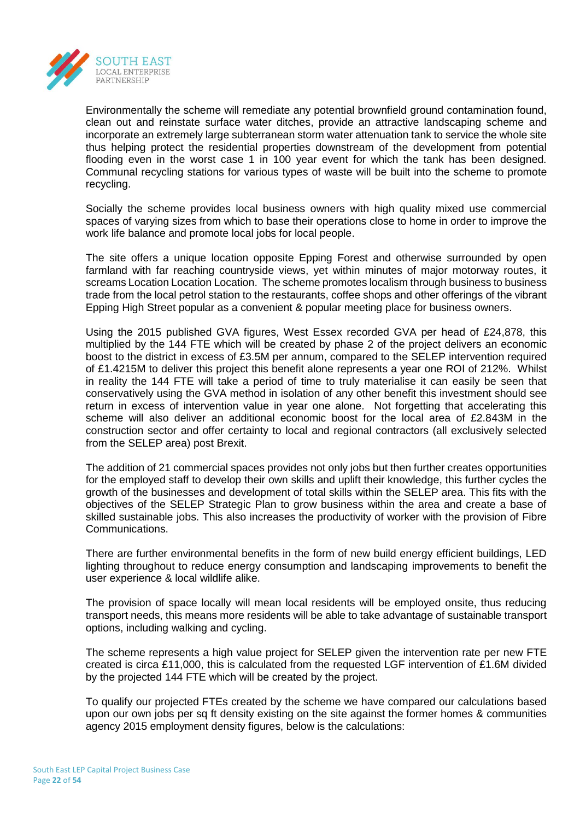

Environmentally the scheme will remediate any potential brownfield ground contamination found, clean out and reinstate surface water ditches, provide an attractive landscaping scheme and incorporate an extremely large subterranean storm water attenuation tank to service the whole site thus helping protect the residential properties downstream of the development from potential flooding even in the worst case 1 in 100 year event for which the tank has been designed. Communal recycling stations for various types of waste will be built into the scheme to promote recycling.

Socially the scheme provides local business owners with high quality mixed use commercial spaces of varying sizes from which to base their operations close to home in order to improve the work life balance and promote local jobs for local people.

The site offers a unique location opposite Epping Forest and otherwise surrounded by open farmland with far reaching countryside views, yet within minutes of major motorway routes, it screams Location Location Location. The scheme promotes localism through business to business trade from the local petrol station to the restaurants, coffee shops and other offerings of the vibrant Epping High Street popular as a convenient & popular meeting place for business owners.

Using the 2015 published GVA figures, West Essex recorded GVA per head of £24,878, this multiplied by the 144 FTE which will be created by phase 2 of the project delivers an economic boost to the district in excess of £3.5M per annum, compared to the SELEP intervention required of £1.4215M to deliver this project this benefit alone represents a year one ROI of 212%. Whilst in reality the 144 FTE will take a period of time to truly materialise it can easily be seen that conservatively using the GVA method in isolation of any other benefit this investment should see return in excess of intervention value in year one alone. Not forgetting that accelerating this scheme will also deliver an additional economic boost for the local area of £2.843M in the construction sector and offer certainty to local and regional contractors (all exclusively selected from the SELEP area) post Brexit.

The addition of 21 commercial spaces provides not only jobs but then further creates opportunities for the employed staff to develop their own skills and uplift their knowledge, this further cycles the growth of the businesses and development of total skills within the SELEP area. This fits with the objectives of the SELEP Strategic Plan to grow business within the area and create a base of skilled sustainable jobs. This also increases the productivity of worker with the provision of Fibre Communications.

There are further environmental benefits in the form of new build energy efficient buildings, LED lighting throughout to reduce energy consumption and landscaping improvements to benefit the user experience & local wildlife alike.

The provision of space locally will mean local residents will be employed onsite, thus reducing transport needs, this means more residents will be able to take advantage of sustainable transport options, including walking and cycling.

The scheme represents a high value project for SELEP given the intervention rate per new FTE created is circa £11,000, this is calculated from the requested LGF intervention of £1.6M divided by the projected 144 FTE which will be created by the project.

To qualify our projected FTEs created by the scheme we have compared our calculations based upon our own jobs per sq ft density existing on the site against the former homes & communities agency 2015 employment density figures, below is the calculations: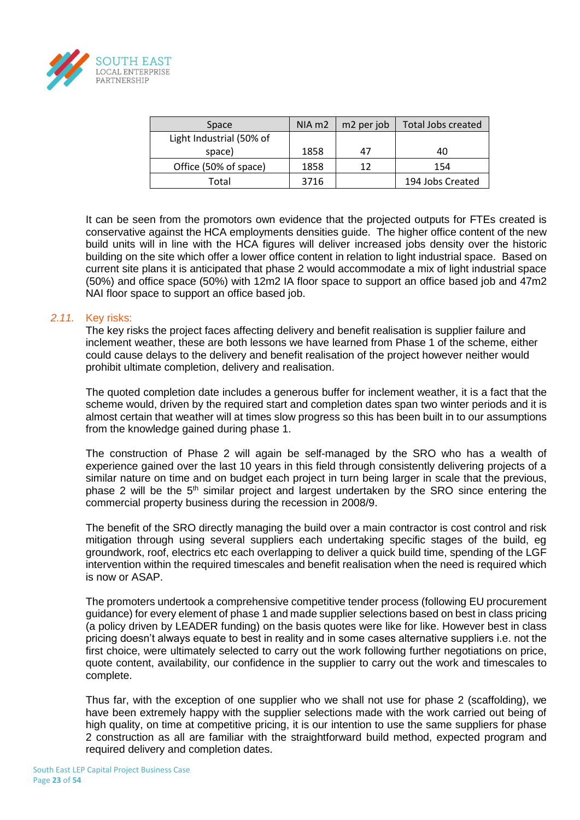

| Space                    | $NIA \, m2$ | m2 per job | <b>Total Jobs created</b> |
|--------------------------|-------------|------------|---------------------------|
| Light Industrial (50% of |             |            |                           |
| space)                   | 1858        |            | 40                        |
| Office (50% of space)    | 1858        | 17         | 154                       |
| Total                    | 3716        |            | 194 Jobs Created          |

It can be seen from the promotors own evidence that the projected outputs for FTEs created is conservative against the HCA employments densities guide. The higher office content of the new build units will in line with the HCA figures will deliver increased jobs density over the historic building on the site which offer a lower office content in relation to light industrial space. Based on current site plans it is anticipated that phase 2 would accommodate a mix of light industrial space (50%) and office space (50%) with 12m2 IA floor space to support an office based job and 47m2 NAI floor space to support an office based job.

## *2.11.* Key risks:

The key risks the project faces affecting delivery and benefit realisation is supplier failure and inclement weather, these are both lessons we have learned from Phase 1 of the scheme, either could cause delays to the delivery and benefit realisation of the project however neither would prohibit ultimate completion, delivery and realisation.

The quoted completion date includes a generous buffer for inclement weather, it is a fact that the scheme would, driven by the required start and completion dates span two winter periods and it is almost certain that weather will at times slow progress so this has been built in to our assumptions from the knowledge gained during phase 1.

The construction of Phase 2 will again be self-managed by the SRO who has a wealth of experience gained over the last 10 years in this field through consistently delivering projects of a similar nature on time and on budget each project in turn being larger in scale that the previous, phase 2 will be the  $5<sup>th</sup>$  similar project and largest undertaken by the SRO since entering the commercial property business during the recession in 2008/9.

The benefit of the SRO directly managing the build over a main contractor is cost control and risk mitigation through using several suppliers each undertaking specific stages of the build, eg groundwork, roof, electrics etc each overlapping to deliver a quick build time, spending of the LGF intervention within the required timescales and benefit realisation when the need is required which is now or ASAP.

The promoters undertook a comprehensive competitive tender process (following EU procurement guidance) for every element of phase 1 and made supplier selections based on best in class pricing (a policy driven by LEADER funding) on the basis quotes were like for like. However best in class pricing doesn't always equate to best in reality and in some cases alternative suppliers i.e. not the first choice, were ultimately selected to carry out the work following further negotiations on price, quote content, availability, our confidence in the supplier to carry out the work and timescales to complete.

Thus far, with the exception of one supplier who we shall not use for phase 2 (scaffolding), we have been extremely happy with the supplier selections made with the work carried out being of high quality, on time at competitive pricing, it is our intention to use the same suppliers for phase 2 construction as all are familiar with the straightforward build method, expected program and required delivery and completion dates.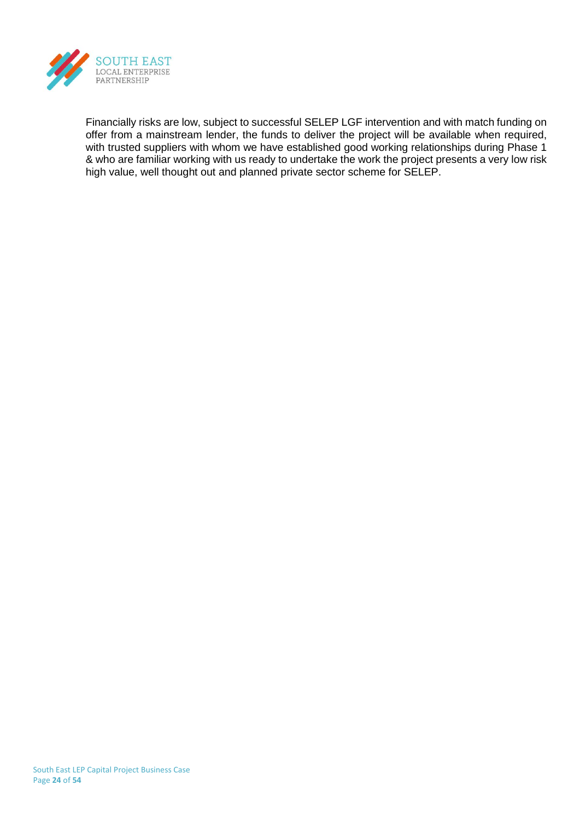

Financially risks are low, subject to successful SELEP LGF intervention and with match funding on offer from a mainstream lender, the funds to deliver the project will be available when required, with trusted suppliers with whom we have established good working relationships during Phase 1 & who are familiar working with us ready to undertake the work the project presents a very low risk high value, well thought out and planned private sector scheme for SELEP.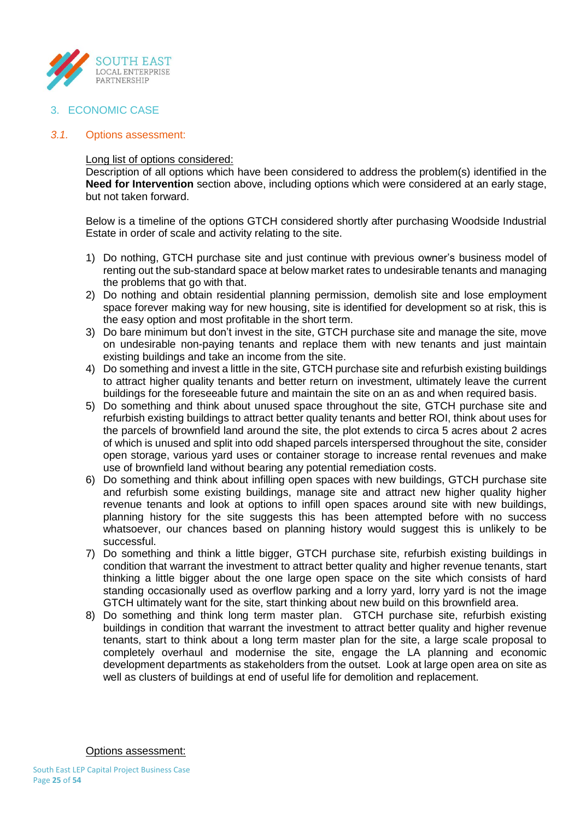

3. ECONOMIC CASE

## *3.1.* Options assessment:

## Long list of options considered:

Description of all options which have been considered to address the problem(s) identified in the **Need for Intervention** section above, including options which were considered at an early stage, but not taken forward.

Below is a timeline of the options GTCH considered shortly after purchasing Woodside Industrial Estate in order of scale and activity relating to the site.

- 1) Do nothing, GTCH purchase site and just continue with previous owner's business model of renting out the sub-standard space at below market rates to undesirable tenants and managing the problems that go with that.
- 2) Do nothing and obtain residential planning permission, demolish site and lose employment space forever making way for new housing, site is identified for development so at risk, this is the easy option and most profitable in the short term.
- 3) Do bare minimum but don't invest in the site, GTCH purchase site and manage the site, move on undesirable non-paying tenants and replace them with new tenants and just maintain existing buildings and take an income from the site.
- 4) Do something and invest a little in the site, GTCH purchase site and refurbish existing buildings to attract higher quality tenants and better return on investment, ultimately leave the current buildings for the foreseeable future and maintain the site on an as and when required basis.
- 5) Do something and think about unused space throughout the site, GTCH purchase site and refurbish existing buildings to attract better quality tenants and better ROI, think about uses for the parcels of brownfield land around the site, the plot extends to circa 5 acres about 2 acres of which is unused and split into odd shaped parcels interspersed throughout the site, consider open storage, various yard uses or container storage to increase rental revenues and make use of brownfield land without bearing any potential remediation costs.
- 6) Do something and think about infilling open spaces with new buildings, GTCH purchase site and refurbish some existing buildings, manage site and attract new higher quality higher revenue tenants and look at options to infill open spaces around site with new buildings, planning history for the site suggests this has been attempted before with no success whatsoever, our chances based on planning history would suggest this is unlikely to be successful.
- 7) Do something and think a little bigger, GTCH purchase site, refurbish existing buildings in condition that warrant the investment to attract better quality and higher revenue tenants, start thinking a little bigger about the one large open space on the site which consists of hard standing occasionally used as overflow parking and a lorry yard, lorry yard is not the image GTCH ultimately want for the site, start thinking about new build on this brownfield area.
- 8) Do something and think long term master plan. GTCH purchase site, refurbish existing buildings in condition that warrant the investment to attract better quality and higher revenue tenants, start to think about a long term master plan for the site, a large scale proposal to completely overhaul and modernise the site, engage the LA planning and economic development departments as stakeholders from the outset. Look at large open area on site as well as clusters of buildings at end of useful life for demolition and replacement.

Options assessment: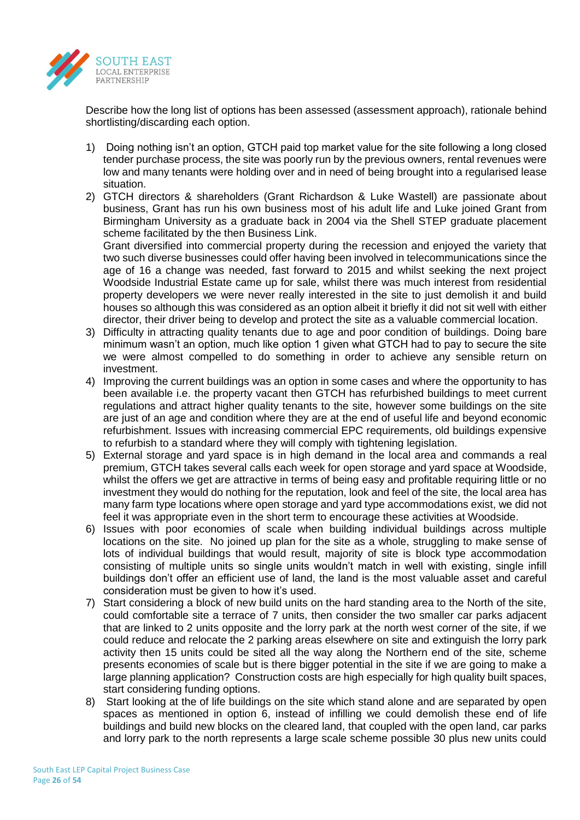

Describe how the long list of options has been assessed (assessment approach), rationale behind shortlisting/discarding each option.

- 1) Doing nothing isn't an option, GTCH paid top market value for the site following a long closed tender purchase process, the site was poorly run by the previous owners, rental revenues were low and many tenants were holding over and in need of being brought into a regularised lease situation.
- 2) GTCH directors & shareholders (Grant Richardson & Luke Wastell) are passionate about business, Grant has run his own business most of his adult life and Luke joined Grant from Birmingham University as a graduate back in 2004 via the Shell STEP graduate placement scheme facilitated by the then Business Link.

Grant diversified into commercial property during the recession and enjoyed the variety that two such diverse businesses could offer having been involved in telecommunications since the age of 16 a change was needed, fast forward to 2015 and whilst seeking the next project Woodside Industrial Estate came up for sale, whilst there was much interest from residential property developers we were never really interested in the site to just demolish it and build houses so although this was considered as an option albeit it briefly it did not sit well with either director, their driver being to develop and protect the site as a valuable commercial location.

- 3) Difficulty in attracting quality tenants due to age and poor condition of buildings. Doing bare minimum wasn't an option, much like option 1 given what GTCH had to pay to secure the site we were almost compelled to do something in order to achieve any sensible return on investment.
- 4) Improving the current buildings was an option in some cases and where the opportunity to has been available i.e. the property vacant then GTCH has refurbished buildings to meet current regulations and attract higher quality tenants to the site, however some buildings on the site are just of an age and condition where they are at the end of useful life and beyond economic refurbishment. Issues with increasing commercial EPC requirements, old buildings expensive to refurbish to a standard where they will comply with tightening legislation.
- 5) External storage and yard space is in high demand in the local area and commands a real premium, GTCH takes several calls each week for open storage and yard space at Woodside, whilst the offers we get are attractive in terms of being easy and profitable requiring little or no investment they would do nothing for the reputation, look and feel of the site, the local area has many farm type locations where open storage and yard type accommodations exist, we did not feel it was appropriate even in the short term to encourage these activities at Woodside.
- 6) Issues with poor economies of scale when building individual buildings across multiple locations on the site. No joined up plan for the site as a whole, struggling to make sense of lots of individual buildings that would result, majority of site is block type accommodation consisting of multiple units so single units wouldn't match in well with existing, single infill buildings don't offer an efficient use of land, the land is the most valuable asset and careful consideration must be given to how it's used.
- 7) Start considering a block of new build units on the hard standing area to the North of the site, could comfortable site a terrace of 7 units, then consider the two smaller car parks adjacent that are linked to 2 units opposite and the lorry park at the north west corner of the site, if we could reduce and relocate the 2 parking areas elsewhere on site and extinguish the lorry park activity then 15 units could be sited all the way along the Northern end of the site, scheme presents economies of scale but is there bigger potential in the site if we are going to make a large planning application? Construction costs are high especially for high quality built spaces, start considering funding options.
- 8) Start looking at the of life buildings on the site which stand alone and are separated by open spaces as mentioned in option 6, instead of infilling we could demolish these end of life buildings and build new blocks on the cleared land, that coupled with the open land, car parks and lorry park to the north represents a large scale scheme possible 30 plus new units could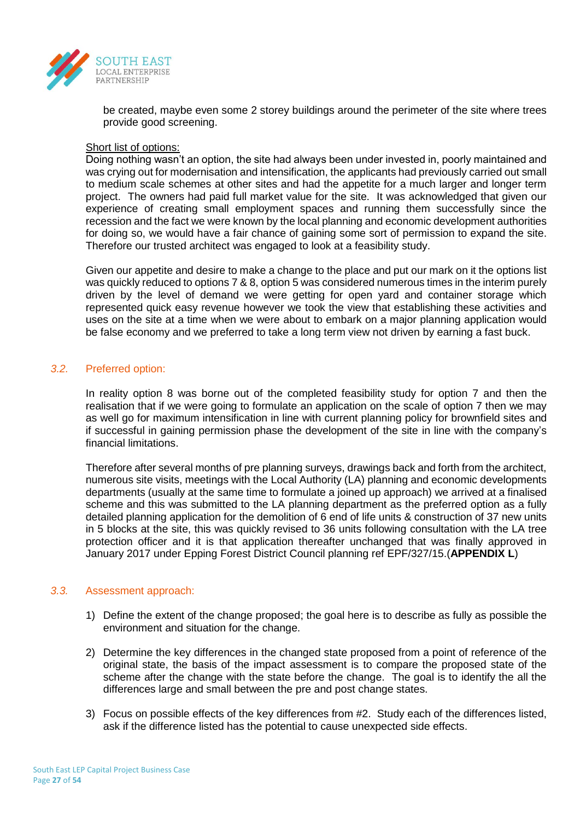

be created, maybe even some 2 storey buildings around the perimeter of the site where trees provide good screening.

# Short list of options:

Doing nothing wasn't an option, the site had always been under invested in, poorly maintained and was crying out for modernisation and intensification, the applicants had previously carried out small to medium scale schemes at other sites and had the appetite for a much larger and longer term project. The owners had paid full market value for the site. It was acknowledged that given our experience of creating small employment spaces and running them successfully since the recession and the fact we were known by the local planning and economic development authorities for doing so, we would have a fair chance of gaining some sort of permission to expand the site. Therefore our trusted architect was engaged to look at a feasibility study.

Given our appetite and desire to make a change to the place and put our mark on it the options list was quickly reduced to options 7 & 8, option 5 was considered numerous times in the interim purely driven by the level of demand we were getting for open yard and container storage which represented quick easy revenue however we took the view that establishing these activities and uses on the site at a time when we were about to embark on a major planning application would be false economy and we preferred to take a long term view not driven by earning a fast buck.

## *3.2.* Preferred option:

In reality option 8 was borne out of the completed feasibility study for option 7 and then the realisation that if we were going to formulate an application on the scale of option 7 then we may as well go for maximum intensification in line with current planning policy for brownfield sites and if successful in gaining permission phase the development of the site in line with the company's financial limitations.

Therefore after several months of pre planning surveys, drawings back and forth from the architect, numerous site visits, meetings with the Local Authority (LA) planning and economic developments departments (usually at the same time to formulate a joined up approach) we arrived at a finalised scheme and this was submitted to the LA planning department as the preferred option as a fully detailed planning application for the demolition of 6 end of life units & construction of 37 new units in 5 blocks at the site, this was quickly revised to 36 units following consultation with the LA tree protection officer and it is that application thereafter unchanged that was finally approved in January 2017 under Epping Forest District Council planning ref EPF/327/15.(**APPENDIX L**)

## *3.3.* Assessment approach:

- 1) Define the extent of the change proposed; the goal here is to describe as fully as possible the environment and situation for the change.
- 2) Determine the key differences in the changed state proposed from a point of reference of the original state, the basis of the impact assessment is to compare the proposed state of the scheme after the change with the state before the change. The goal is to identify the all the differences large and small between the pre and post change states.
- 3) Focus on possible effects of the key differences from #2. Study each of the differences listed, ask if the difference listed has the potential to cause unexpected side effects.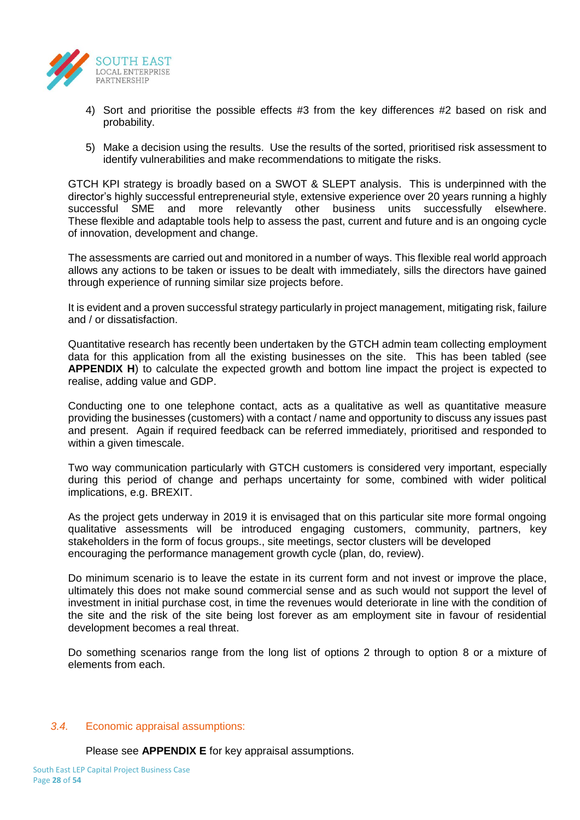

- 4) Sort and prioritise the possible effects #3 from the key differences #2 based on risk and probability.
- 5) Make a decision using the results. Use the results of the sorted, prioritised risk assessment to identify vulnerabilities and make recommendations to mitigate the risks.

GTCH KPI strategy is broadly based on a SWOT & SLEPT analysis. This is underpinned with the director's highly successful entrepreneurial style, extensive experience over 20 years running a highly successful SME and more relevantly other business units successfully elsewhere. These flexible and adaptable tools help to assess the past, current and future and is an ongoing cycle of innovation, development and change.

The assessments are carried out and monitored in a number of ways. This flexible real world approach allows any actions to be taken or issues to be dealt with immediately, sills the directors have gained through experience of running similar size projects before.

It is evident and a proven successful strategy particularly in project management, mitigating risk, failure and / or dissatisfaction.

Quantitative research has recently been undertaken by the GTCH admin team collecting employment data for this application from all the existing businesses on the site. This has been tabled (see **APPENDIX H**) to calculate the expected growth and bottom line impact the project is expected to realise, adding value and GDP.

Conducting one to one telephone contact, acts as a qualitative as well as quantitative measure providing the businesses (customers) with a contact / name and opportunity to discuss any issues past and present. Again if required feedback can be referred immediately, prioritised and responded to within a given timescale.

Two way communication particularly with GTCH customers is considered very important, especially during this period of change and perhaps uncertainty for some, combined with wider political implications, e.g. BREXIT.

As the project gets underway in 2019 it is envisaged that on this particular site more formal ongoing qualitative assessments will be introduced engaging customers, community, partners, key stakeholders in the form of focus groups., site meetings, sector clusters will be developed encouraging the performance management growth cycle (plan, do, review).

Do minimum scenario is to leave the estate in its current form and not invest or improve the place, ultimately this does not make sound commercial sense and as such would not support the level of investment in initial purchase cost, in time the revenues would deteriorate in line with the condition of the site and the risk of the site being lost forever as am employment site in favour of residential development becomes a real threat.

Do something scenarios range from the long list of options 2 through to option 8 or a mixture of elements from each.

## *3.4.* Economic appraisal assumptions:

Please see **APPENDIX E** for key appraisal assumptions.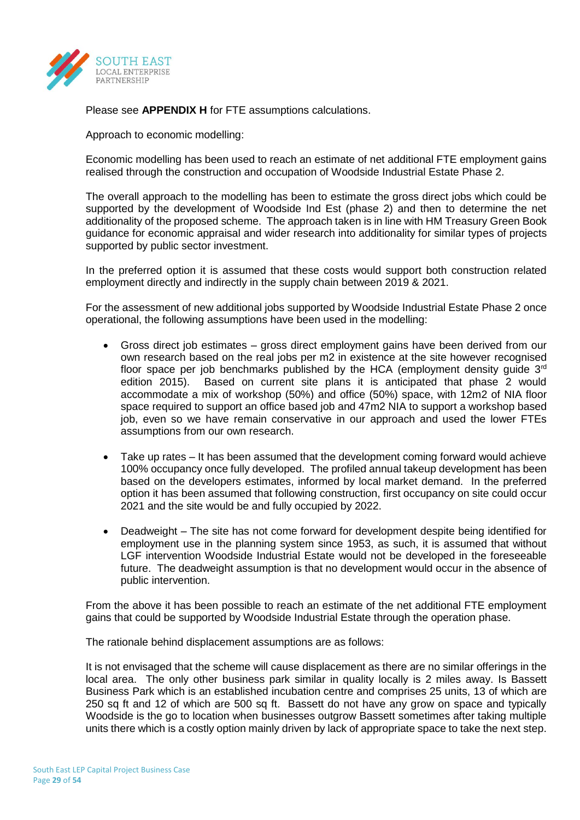

Please see **APPENDIX H** for FTE assumptions calculations.

Approach to economic modelling:

Economic modelling has been used to reach an estimate of net additional FTE employment gains realised through the construction and occupation of Woodside Industrial Estate Phase 2.

The overall approach to the modelling has been to estimate the gross direct jobs which could be supported by the development of Woodside Ind Est (phase 2) and then to determine the net additionality of the proposed scheme. The approach taken is in line with HM Treasury Green Book guidance for economic appraisal and wider research into additionality for similar types of projects supported by public sector investment.

In the preferred option it is assumed that these costs would support both construction related employment directly and indirectly in the supply chain between 2019 & 2021.

For the assessment of new additional jobs supported by Woodside Industrial Estate Phase 2 once operational, the following assumptions have been used in the modelling:

- Gross direct job estimates gross direct employment gains have been derived from our own research based on the real jobs per m2 in existence at the site however recognised floor space per job benchmarks published by the HCA (employment density quide 3<sup>rd</sup> edition 2015). Based on current site plans it is anticipated that phase 2 would accommodate a mix of workshop (50%) and office (50%) space, with 12m2 of NIA floor space required to support an office based job and 47m2 NIA to support a workshop based job, even so we have remain conservative in our approach and used the lower FTEs assumptions from our own research.
- Take up rates It has been assumed that the development coming forward would achieve 100% occupancy once fully developed. The profiled annual takeup development has been based on the developers estimates, informed by local market demand. In the preferred option it has been assumed that following construction, first occupancy on site could occur 2021 and the site would be and fully occupied by 2022.
- Deadweight The site has not come forward for development despite being identified for employment use in the planning system since 1953, as such, it is assumed that without LGF intervention Woodside Industrial Estate would not be developed in the foreseeable future. The deadweight assumption is that no development would occur in the absence of public intervention.

From the above it has been possible to reach an estimate of the net additional FTE employment gains that could be supported by Woodside Industrial Estate through the operation phase.

The rationale behind displacement assumptions are as follows:

It is not envisaged that the scheme will cause displacement as there are no similar offerings in the local area. The only other business park similar in quality locally is 2 miles away. Is Bassett Business Park which is an established incubation centre and comprises 25 units, 13 of which are 250 sq ft and 12 of which are 500 sq ft. Bassett do not have any grow on space and typically Woodside is the go to location when businesses outgrow Bassett sometimes after taking multiple units there which is a costly option mainly driven by lack of appropriate space to take the next step.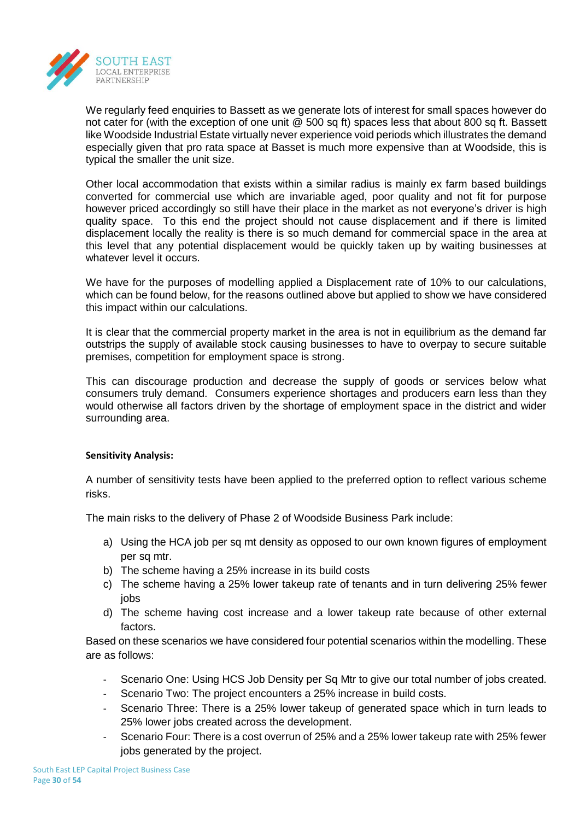

We regularly feed enquiries to Bassett as we generate lots of interest for small spaces however do not cater for (with the exception of one unit @ 500 sq ft) spaces less that about 800 sq ft. Bassett like Woodside Industrial Estate virtually never experience void periods which illustrates the demand especially given that pro rata space at Basset is much more expensive than at Woodside, this is typical the smaller the unit size.

Other local accommodation that exists within a similar radius is mainly ex farm based buildings converted for commercial use which are invariable aged, poor quality and not fit for purpose however priced accordingly so still have their place in the market as not everyone's driver is high quality space. To this end the project should not cause displacement and if there is limited displacement locally the reality is there is so much demand for commercial space in the area at this level that any potential displacement would be quickly taken up by waiting businesses at whatever level it occurs.

We have for the purposes of modelling applied a Displacement rate of 10% to our calculations, which can be found below, for the reasons outlined above but applied to show we have considered this impact within our calculations.

It is clear that the commercial property market in the area is not in equilibrium as the demand far outstrips the supply of available stock causing businesses to have to overpay to secure suitable premises, competition for employment space is strong.

This can discourage production and decrease the supply of goods or services below what consumers truly demand. Consumers experience shortages and producers earn less than they would otherwise all factors driven by the shortage of employment space in the district and wider surrounding area.

## **Sensitivity Analysis:**

A number of sensitivity tests have been applied to the preferred option to reflect various scheme risks.

The main risks to the delivery of Phase 2 of Woodside Business Park include:

- a) Using the HCA job per sq mt density as opposed to our own known figures of employment per sq mtr.
- b) The scheme having a 25% increase in its build costs
- c) The scheme having a 25% lower takeup rate of tenants and in turn delivering 25% fewer iobs
- d) The scheme having cost increase and a lower takeup rate because of other external factors.

Based on these scenarios we have considered four potential scenarios within the modelling. These are as follows:

- Scenario One: Using HCS Job Density per Sq Mtr to give our total number of jobs created.
- Scenario Two: The project encounters a 25% increase in build costs.
- Scenario Three: There is a 25% lower takeup of generated space which in turn leads to 25% lower jobs created across the development.
- Scenario Four: There is a cost overrun of 25% and a 25% lower takeup rate with 25% fewer jobs generated by the project.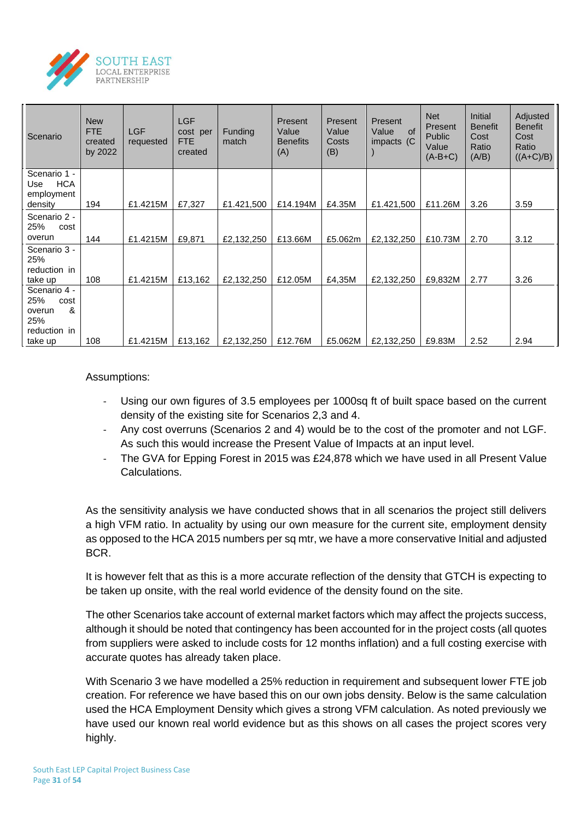

| Scenario                                                   | <b>New</b><br><b>FTE</b><br>created<br>by 2022 | <b>LGF</b><br>requested | LGF<br>cost per<br>FTE.<br>created | Funding<br>match | Present<br>Value<br><b>Benefits</b><br>(A) | Present<br>Value<br>Costs<br>(B) | Present<br>Value<br>of<br>impacts (C | <b>Net</b><br>Present<br><b>Public</b><br>Value<br>$(A-B+C)$ | <b>Initial</b><br><b>Benefit</b><br>Cost<br>Ratio<br>(A/B) | Adjusted<br><b>Benefit</b><br>Cost<br>Ratio<br>$((A+C)/B)$ |
|------------------------------------------------------------|------------------------------------------------|-------------------------|------------------------------------|------------------|--------------------------------------------|----------------------------------|--------------------------------------|--------------------------------------------------------------|------------------------------------------------------------|------------------------------------------------------------|
| Scenario 1 -<br><b>HCA</b><br>Use<br>employment<br>density | 194                                            | £1.4215M                | £7,327                             | £1.421,500       | £14.194M                                   | £4.35M                           | £1.421,500                           | £11.26M                                                      | 3.26                                                       | 3.59                                                       |
| Scenario 2 -<br>25%<br>cost<br>overun                      | 144                                            | £1.4215M                | £9,871                             | £2,132,250       | £13.66M                                    | £5.062m                          | £2,132,250                           | £10.73M                                                      | 2.70                                                       | 3.12                                                       |
| Scenario 3 -<br>25%<br>reduction in<br>take up             | 108                                            | £1.4215M                | £13,162                            | £2,132,250       | £12.05M                                    | £4,35M                           | £2,132,250                           | £9,832M                                                      | 2.77                                                       | 3.26                                                       |
| Scenario 4 -<br>25%<br>cost<br>&<br>overun<br>25%          |                                                |                         |                                    |                  |                                            |                                  |                                      |                                                              |                                                            |                                                            |
| reduction in<br>take up                                    | 108                                            | £1.4215M                | £13,162                            | £2,132,250       | £12.76M                                    | £5.062M                          | £2,132,250                           | £9.83M                                                       | 2.52                                                       | 2.94                                                       |

## Assumptions:

- Using our own figures of 3.5 employees per 1000sq ft of built space based on the current density of the existing site for Scenarios 2,3 and 4.
- Any cost overruns (Scenarios 2 and 4) would be to the cost of the promoter and not LGF. As such this would increase the Present Value of Impacts at an input level.
- The GVA for Epping Forest in 2015 was £24,878 which we have used in all Present Value Calculations.

As the sensitivity analysis we have conducted shows that in all scenarios the project still delivers a high VFM ratio. In actuality by using our own measure for the current site, employment density as opposed to the HCA 2015 numbers per sq mtr, we have a more conservative Initial and adjusted BCR.

It is however felt that as this is a more accurate reflection of the density that GTCH is expecting to be taken up onsite, with the real world evidence of the density found on the site.

The other Scenarios take account of external market factors which may affect the projects success, although it should be noted that contingency has been accounted for in the project costs (all quotes from suppliers were asked to include costs for 12 months inflation) and a full costing exercise with accurate quotes has already taken place.

With Scenario 3 we have modelled a 25% reduction in requirement and subsequent lower FTE job creation. For reference we have based this on our own jobs density. Below is the same calculation used the HCA Employment Density which gives a strong VFM calculation. As noted previously we have used our known real world evidence but as this shows on all cases the project scores very highly.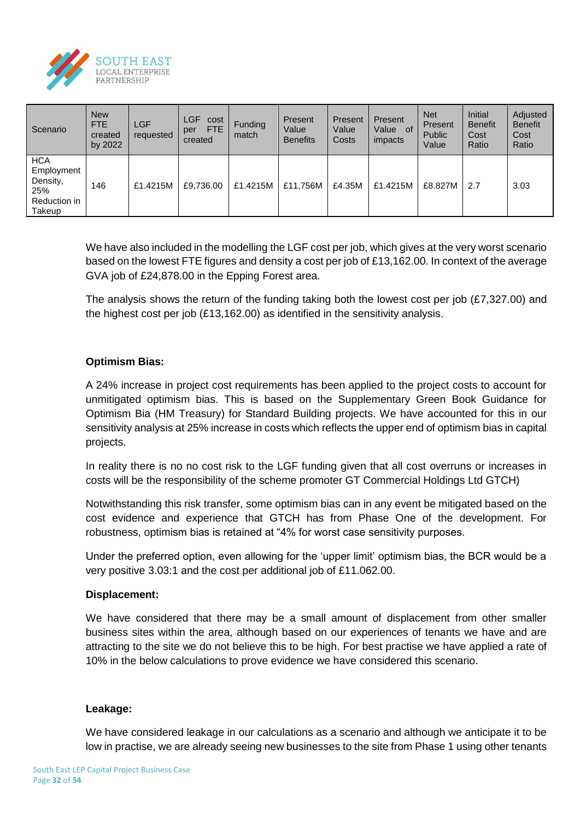

| Scenario                                                              | <b>New</b><br><b>FTE</b><br>created<br>by 2022 | <b>LGF</b><br>requested | <b>LGF</b><br>cost<br><b>FTE</b><br>per<br>created | <b>Funding</b><br>match | Present<br>Value<br><b>Benefits</b> | Present<br>Value<br>Costs | Present<br>Value<br>- of<br>impacts | <b>Net</b><br>Present<br><b>Public</b><br>Value | <b>Initial</b><br><b>Benefit</b><br>Cost<br>Ratio | Adjusted<br><b>Benefit</b><br>Cost<br>Ratio |
|-----------------------------------------------------------------------|------------------------------------------------|-------------------------|----------------------------------------------------|-------------------------|-------------------------------------|---------------------------|-------------------------------------|-------------------------------------------------|---------------------------------------------------|---------------------------------------------|
| <b>HCA</b><br>Employment<br>Density,<br>25%<br>Reduction in<br>Takeup | 146                                            | £1.4215M                | £9,736.00                                          | £1.4215M                | £11,756M                            | £4.35M                    | £1.4215M                            | £8.827M                                         | 2.7                                               | 3.03                                        |

We have also included in the modelling the LGF cost per job, which gives at the very worst scenario based on the lowest FTE figures and density a cost per job of £13,162.00. In context of the average GVA job of £24,878.00 in the Epping Forest area.

The analysis shows the return of the funding taking both the lowest cost per job (£7,327.00) and the highest cost per job (£13,162.00) as identified in the sensitivity analysis.

# **Optimism Bias:**

A 24% increase in project cost requirements has been applied to the project costs to account for unmitigated optimism bias. This is based on the Supplementary Green Book Guidance for Optimism Bia (HM Treasury) for Standard Building projects. We have accounted for this in our sensitivity analysis at 25% increase in costs which reflects the upper end of optimism bias in capital projects.

In reality there is no no cost risk to the LGF funding given that all cost overruns or increases in costs will be the responsibility of the scheme promoter GT Commercial Holdings Ltd GTCH)

Notwithstanding this risk transfer, some optimism bias can in any event be mitigated based on the cost evidence and experience that GTCH has from Phase One of the development. For robustness, optimism bias is retained at "4% for worst case sensitivity purposes.

Under the preferred option, even allowing for the 'upper limit' optimism bias, the BCR would be a very positive 3.03:1 and the cost per additional job of £11.062.00.

## **Displacement:**

We have considered that there may be a small amount of displacement from other smaller business sites within the area, although based on our experiences of tenants we have and are attracting to the site we do not believe this to be high. For best practise we have applied a rate of 10% in the below calculations to prove evidence we have considered this scenario.

## **Leakage:**

We have considered leakage in our calculations as a scenario and although we anticipate it to be low in practise, we are already seeing new businesses to the site from Phase 1 using other tenants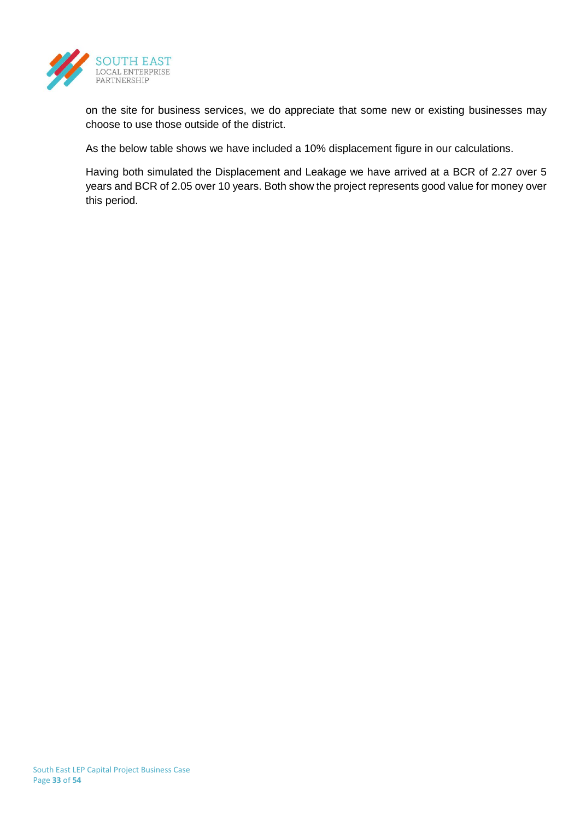

on the site for business services, we do appreciate that some new or existing businesses may choose to use those outside of the district.

As the below table shows we have included a 10% displacement figure in our calculations.

Having both simulated the Displacement and Leakage we have arrived at a BCR of 2.27 over 5 years and BCR of 2.05 over 10 years. Both show the project represents good value for money over this period.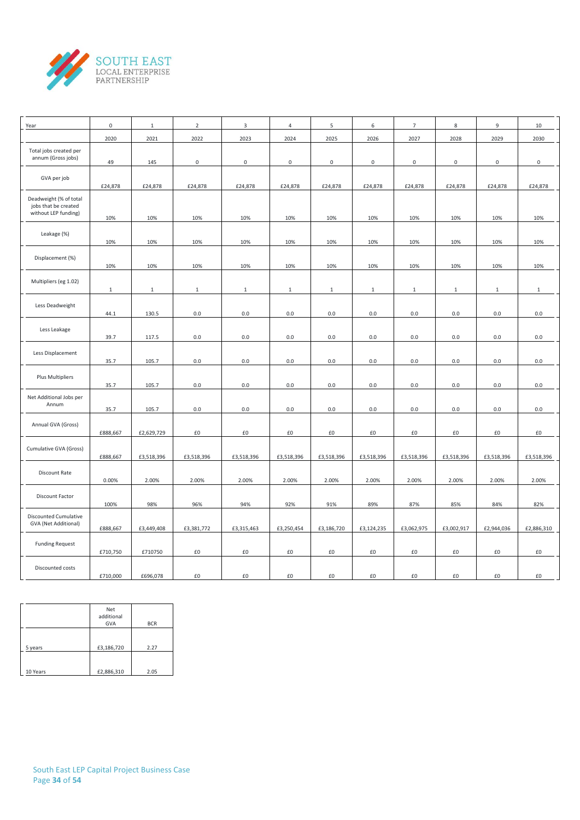

| Year                                                                   | $\mathbf 0$  | $\mathbf{1}$ | $\overline{2}$ | 3                   | $\overline{4}$      | 5                   | 6                   | $\overline{7}$    | 8            | 9                   | 10                  |
|------------------------------------------------------------------------|--------------|--------------|----------------|---------------------|---------------------|---------------------|---------------------|-------------------|--------------|---------------------|---------------------|
|                                                                        | 2020         | 2021         | 2022           | 2023                | 2024                | 2025                | 2026                | 2027              | 2028         | 2029                | 2030                |
| Total jobs created per<br>annum (Gross jobs)                           | 49           | 145          | $\mathsf 0$    | $\mathsf{O}\xspace$ | $\mathsf{O}\xspace$ | $\mathsf{O}\xspace$ | $\mathsf{O}\xspace$ | $\mathbf 0$       | $\mathbf 0$  | $\mathsf{O}\xspace$ | $\mathsf{O}\xspace$ |
| GVA per job                                                            | £24,878      | £24,878      | £24,878        | £24,878             | £24,878             | £24,878             | £24,878             | £24,878           | £24,878      | £24,878             | £24,878             |
| Deadweight (% of total<br>jobs that be created<br>without LEP funding) | 10%          | 10%          | 10%            | 10%                 | 10%                 | 10%                 | 10%                 | 10%               | 10%          | 10%                 | 10%                 |
| Leakage (%)                                                            | 10%          | 10%          | 10%            | 10%                 | 10%                 | 10%                 | 10%                 | 10%               | 10%          | 10%                 | 10%                 |
| Displacement (%)                                                       | 10%          | 10%          | 10%            | 10%                 | 10%                 | 10%                 | 10%                 | 10%               | 10%          | 10%                 | 10%                 |
| Multipliers (eg 1.02)                                                  | $\mathbf{1}$ | $\mathbf{1}$ | $\mathbf{1}$   | $\mathbf{1}$        | $\mathbf{1}$        | $\mathbf{1}$        | $\mathbf{1}$        | $\mathbf{1}$      | $\mathbf{1}$ | $\mathbf{1}$        | $\mathbf{1}$        |
| Less Deadweight                                                        | 44.1         | 130.5        | 0.0            | $0.0\,$             | $0.0\,$             | 0.0                 | $0.0\,$             | 0.0               | $0.0\,$      | 0.0                 | 0.0                 |
| Less Leakage                                                           | 39.7         | 117.5        | 0.0            | 0.0                 | $0.0\,$             | $0.0\,$             | $0.0\,$             | $0.0\,$           | $0.0\,$      | 0.0                 | $0.0\,$             |
| Less Displacement                                                      | 35.7         | 105.7        | 0.0            | 0.0                 | $0.0\,$             | 0.0                 | $0.0\,$             | 0.0               | $0.0\,$      | $0.0\,$             | $0.0\,$             |
| Plus Multipliers                                                       | 35.7         | 105.7        | 0.0            | 0.0                 | 0.0                 | 0.0                 | $0.0\,$             | 0.0               | $0.0\,$      | $0.0\,$             | $0.0\,$             |
| Net Additional Jobs per<br>Annum                                       | 35.7         | 105.7        | 0.0            | $0.0\,$             | $0.0\,$             | 0.0                 | $0.0\,$             | 0.0               | $0.0\,$      | 0.0                 | 0.0                 |
| Annual GVA (Gross)                                                     | £888,667     | £2,629,729   | £0             | $\pmb{\text{f0}}$   | £0                  | £0                  | £0                  | £0                | £0           | £0                  | £0                  |
| Cumulative GVA (Gross)                                                 | £888,667     | £3,518,396   | £3,518,396     | £3,518,396          | £3,518,396          | £3,518,396          | £3,518,396          | £3,518,396        | £3,518,396   | £3,518,396          | £3,518,396          |
| Discount Rate                                                          | 0.00%        | 2.00%        | 2.00%          | 2.00%               | 2.00%               | 2.00%               | 2.00%               | 2.00%             | 2.00%        | 2.00%               | 2.00%               |
| Discount Factor                                                        | 100%         | 98%          | 96%            | 94%                 | 92%                 | 91%                 | 89%                 | 87%               | 85%          | 84%                 | 82%                 |
| <b>Discounted Cumulative</b><br>GVA (Net Additional)                   | £888,667     | £3,449,408   | £3,381,772     | £3,315,463          | £3,250,454          | £3,186,720          | £3,124,235          | £3,062,975        | £3,002,917   | £2,944,036          | £2,886,310          |
| <b>Funding Request</b>                                                 | £710,750     | £710750      | £0             | $\pmb{\text{f0}}$   | £0                  | £0                  | $\pmb{\text{f0}}$   | $\pmb{\text{f0}}$ | £0           | £0                  | £0                  |
| Discounted costs                                                       | £710,000     | £696,078     | £0             | £0                  | £0                  | £0                  | £0                  | $\pmb{\text{f0}}$ | £0           | £0                  | £0                  |

|          | Net<br>additional<br><b>GVA</b> | <b>BCR</b> |
|----------|---------------------------------|------------|
| 5 years  | £3,186,720                      | 2.27       |
| 10 Years | £2,886,310                      | 2.05       |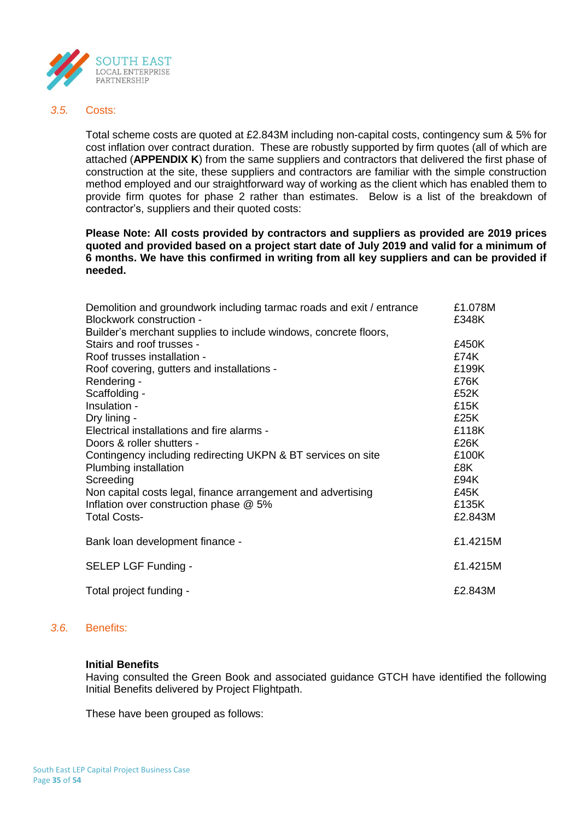

#### *3.5.* Costs:

Total scheme costs are quoted at £2.843M including non-capital costs, contingency sum & 5% for cost inflation over contract duration. These are robustly supported by firm quotes (all of which are attached (**APPENDIX K**) from the same suppliers and contractors that delivered the first phase of construction at the site, these suppliers and contractors are familiar with the simple construction method employed and our straightforward way of working as the client which has enabled them to provide firm quotes for phase 2 rather than estimates. Below is a list of the breakdown of contractor's, suppliers and their quoted costs:

## **Please Note: All costs provided by contractors and suppliers as provided are 2019 prices quoted and provided based on a project start date of July 2019 and valid for a minimum of 6 months. We have this confirmed in writing from all key suppliers and can be provided if needed.**

| Demolition and groundwork including tarmac roads and exit / entrance | £1.078M  |
|----------------------------------------------------------------------|----------|
| Blockwork construction -                                             | £348K    |
| Builder's merchant supplies to include windows, concrete floors,     |          |
| Stairs and roof trusses -                                            | £450K    |
| Roof trusses installation -                                          | £74K     |
| Roof covering, gutters and installations -                           | £199K    |
| Rendering -                                                          | £76K     |
| Scaffolding -                                                        | £52K     |
| Insulation -                                                         | £15K     |
| Dry lining -                                                         | £25K     |
| Electrical installations and fire alarms -                           | £118K    |
| Doors & roller shutters -                                            | £26K     |
| Contingency including redirecting UKPN & BT services on site         | £100K    |
| Plumbing installation                                                | £8K      |
| Screeding                                                            | £94K     |
| Non capital costs legal, finance arrangement and advertising         | £45K     |
| Inflation over construction phase @ 5%                               | £135K    |
| <b>Total Costs-</b>                                                  | £2.843M  |
| Bank loan development finance -                                      | £1.4215M |
| SELEP LGF Funding -                                                  | £1.4215M |
| Total project funding -                                              | £2.843M  |

## *3.6.* Benefits:

#### **Initial Benefits**

Having consulted the Green Book and associated guidance GTCH have identified the following Initial Benefits delivered by Project Flightpath.

These have been grouped as follows: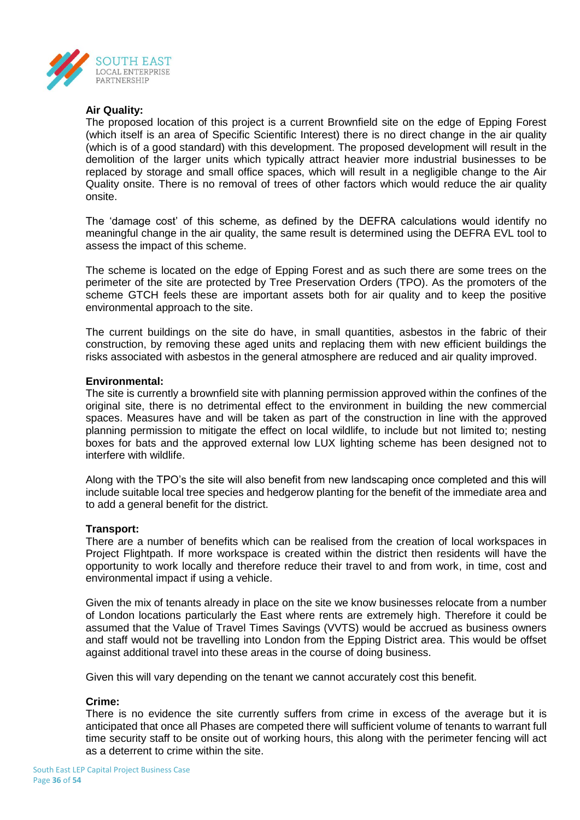

## **Air Quality:**

The proposed location of this project is a current Brownfield site on the edge of Epping Forest (which itself is an area of Specific Scientific Interest) there is no direct change in the air quality (which is of a good standard) with this development. The proposed development will result in the demolition of the larger units which typically attract heavier more industrial businesses to be replaced by storage and small office spaces, which will result in a negligible change to the Air Quality onsite. There is no removal of trees of other factors which would reduce the air quality onsite.

The 'damage cost' of this scheme, as defined by the DEFRA calculations would identify no meaningful change in the air quality, the same result is determined using the DEFRA EVL tool to assess the impact of this scheme.

The scheme is located on the edge of Epping Forest and as such there are some trees on the perimeter of the site are protected by Tree Preservation Orders (TPO). As the promoters of the scheme GTCH feels these are important assets both for air quality and to keep the positive environmental approach to the site.

The current buildings on the site do have, in small quantities, asbestos in the fabric of their construction, by removing these aged units and replacing them with new efficient buildings the risks associated with asbestos in the general atmosphere are reduced and air quality improved.

## **Environmental:**

The site is currently a brownfield site with planning permission approved within the confines of the original site, there is no detrimental effect to the environment in building the new commercial spaces. Measures have and will be taken as part of the construction in line with the approved planning permission to mitigate the effect on local wildlife, to include but not limited to; nesting boxes for bats and the approved external low LUX lighting scheme has been designed not to interfere with wildlife.

Along with the TPO's the site will also benefit from new landscaping once completed and this will include suitable local tree species and hedgerow planting for the benefit of the immediate area and to add a general benefit for the district.

## **Transport:**

There are a number of benefits which can be realised from the creation of local workspaces in Project Flightpath. If more workspace is created within the district then residents will have the opportunity to work locally and therefore reduce their travel to and from work, in time, cost and environmental impact if using a vehicle.

Given the mix of tenants already in place on the site we know businesses relocate from a number of London locations particularly the East where rents are extremely high. Therefore it could be assumed that the Value of Travel Times Savings (VVTS) would be accrued as business owners and staff would not be travelling into London from the Epping District area. This would be offset against additional travel into these areas in the course of doing business.

Given this will vary depending on the tenant we cannot accurately cost this benefit.

## **Crime:**

There is no evidence the site currently suffers from crime in excess of the average but it is anticipated that once all Phases are competed there will sufficient volume of tenants to warrant full time security staff to be onsite out of working hours, this along with the perimeter fencing will act as a deterrent to crime within the site.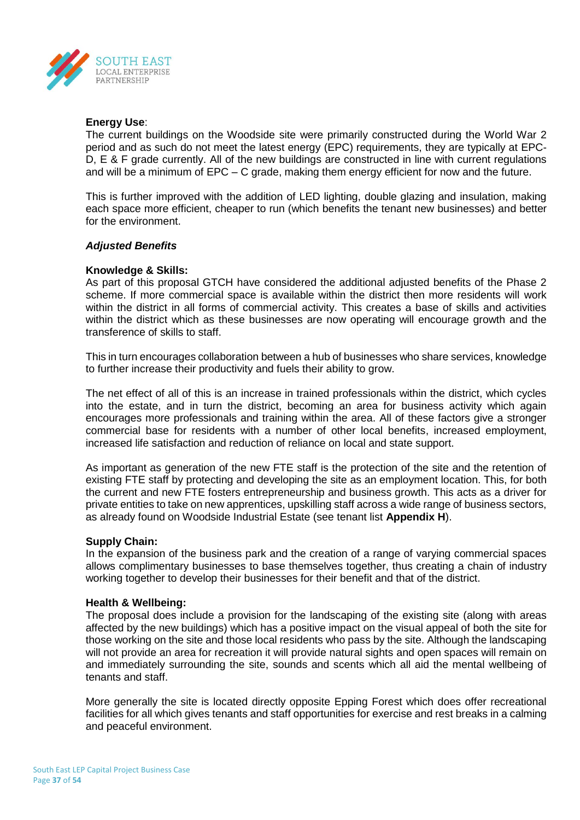

## **Energy Use**:

The current buildings on the Woodside site were primarily constructed during the World War 2 period and as such do not meet the latest energy (EPC) requirements, they are typically at EPC-D, E & F grade currently. All of the new buildings are constructed in line with current regulations and will be a minimum of EPC – C grade, making them energy efficient for now and the future.

This is further improved with the addition of LED lighting, double glazing and insulation, making each space more efficient, cheaper to run (which benefits the tenant new businesses) and better for the environment.

## *Adjusted Benefits*

## **Knowledge & Skills:**

As part of this proposal GTCH have considered the additional adjusted benefits of the Phase 2 scheme. If more commercial space is available within the district then more residents will work within the district in all forms of commercial activity. This creates a base of skills and activities within the district which as these businesses are now operating will encourage growth and the transference of skills to staff.

This in turn encourages collaboration between a hub of businesses who share services, knowledge to further increase their productivity and fuels their ability to grow.

The net effect of all of this is an increase in trained professionals within the district, which cycles into the estate, and in turn the district, becoming an area for business activity which again encourages more professionals and training within the area. All of these factors give a stronger commercial base for residents with a number of other local benefits, increased employment, increased life satisfaction and reduction of reliance on local and state support.

As important as generation of the new FTE staff is the protection of the site and the retention of existing FTE staff by protecting and developing the site as an employment location. This, for both the current and new FTE fosters entrepreneurship and business growth. This acts as a driver for private entities to take on new apprentices, upskilling staff across a wide range of business sectors, as already found on Woodside Industrial Estate (see tenant list **Appendix H**).

## **Supply Chain:**

In the expansion of the business park and the creation of a range of varying commercial spaces allows complimentary businesses to base themselves together, thus creating a chain of industry working together to develop their businesses for their benefit and that of the district.

## **Health & Wellbeing:**

The proposal does include a provision for the landscaping of the existing site (along with areas affected by the new buildings) which has a positive impact on the visual appeal of both the site for those working on the site and those local residents who pass by the site. Although the landscaping will not provide an area for recreation it will provide natural sights and open spaces will remain on and immediately surrounding the site, sounds and scents which all aid the mental wellbeing of tenants and staff.

More generally the site is located directly opposite Epping Forest which does offer recreational facilities for all which gives tenants and staff opportunities for exercise and rest breaks in a calming and peaceful environment.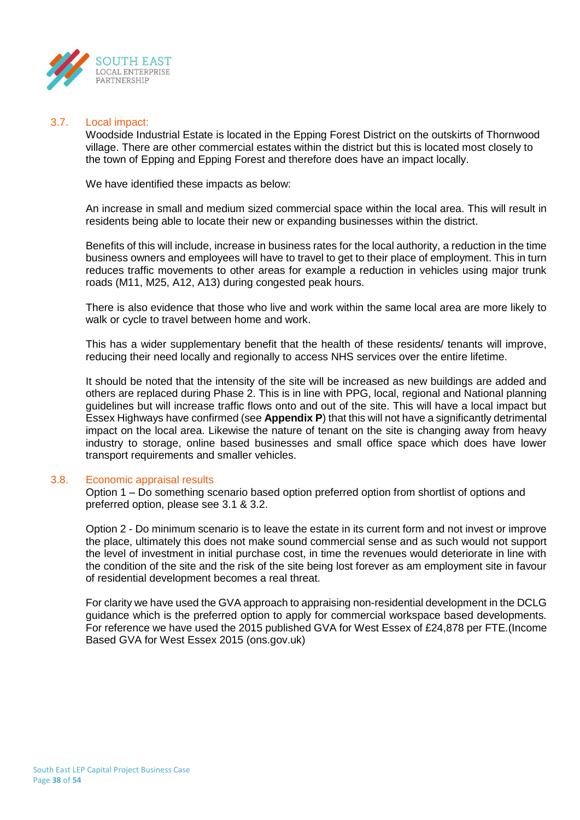

#### 3.7. Local impact:

Woodside Industrial Estate is located in the Epping Forest District on the outskirts of Thornwood village. There are other commercial estates within the district but this is located most closely to the town of Epping and Epping Forest and therefore does have an impact locally.

We have identified these impacts as below:

An increase in small and medium sized commercial space within the local area. This will result in residents being able to locate their new or expanding businesses within the district.

Benefits of this will include, increase in business rates for the local authority, a reduction in the time business owners and employees will have to travel to get to their place of employment. This in turn reduces traffic movements to other areas for example a reduction in vehicles using major trunk roads (M11, M25, A12, A13) during congested peak hours.

There is also evidence that those who live and work within the same local area are more likely to walk or cycle to travel between home and work.

This has a wider supplementary benefit that the health of these residents/ tenants will improve, reducing their need locally and regionally to access NHS services over the entire lifetime.

It should be noted that the intensity of the site will be increased as new buildings are added and others are replaced during Phase 2. This is in line with PPG, local, regional and National planning guidelines but will increase traffic flows onto and out of the site. This will have a local impact but Essex Highways have confirmed (see **Appendix P**) that this will not have a significantly detrimental impact on the local area. Likewise the nature of tenant on the site is changing away from heavy industry to storage, online based businesses and small office space which does have lower transport requirements and smaller vehicles.

## 3.8. Economic appraisal results

Option 1 – Do something scenario based option preferred option from shortlist of options and preferred option, please see 3.1 & 3.2.

Option 2 - Do minimum scenario is to leave the estate in its current form and not invest or improve the place, ultimately this does not make sound commercial sense and as such would not support the level of investment in initial purchase cost, in time the revenues would deteriorate in line with the condition of the site and the risk of the site being lost forever as am employment site in favour of residential development becomes a real threat.

For clarity we have used the GVA approach to appraising non-residential development in the DCLG guidance which is the preferred option to apply for commercial workspace based developments. For reference we have used the 2015 published GVA for West Essex of £24,878 per FTE.(Income Based GVA for West Essex 2015 (ons.gov.uk)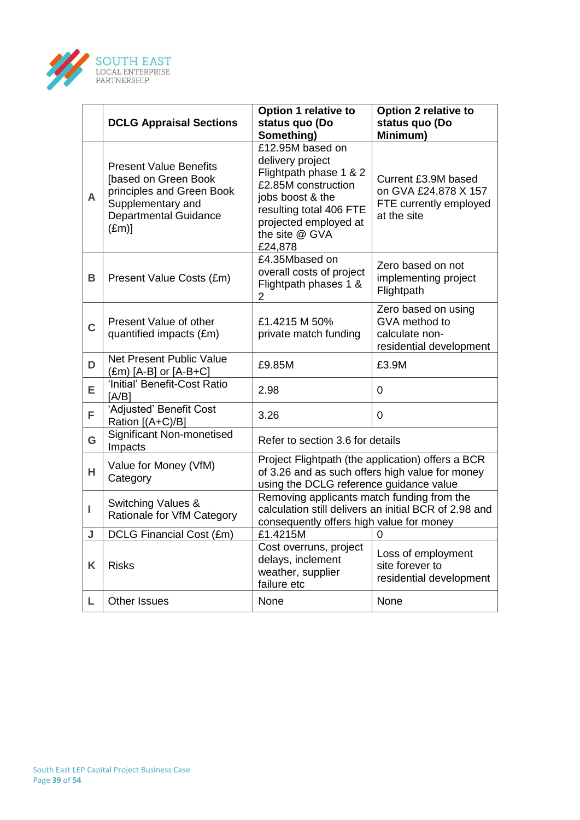

|                | <b>DCLG Appraisal Sections</b>                                                                                                                           | <b>Option 1 relative to</b><br>status quo (Do<br>Something)                                                                                                                                | <b>Option 2 relative to</b><br>status quo (Do<br>Minimum)                            |
|----------------|----------------------------------------------------------------------------------------------------------------------------------------------------------|--------------------------------------------------------------------------------------------------------------------------------------------------------------------------------------------|--------------------------------------------------------------------------------------|
| A              | <b>Present Value Benefits</b><br>[based on Green Book<br>principles and Green Book<br>Supplementary and<br><b>Departmental Guidance</b><br>$(\text{Em})$ | £12.95M based on<br>delivery project<br>Flightpath phase 1 & 2<br>£2.85M construction<br>jobs boost & the<br>resulting total 406 FTE<br>projected employed at<br>the site @ GVA<br>£24,878 | Current £3.9M based<br>on GVA £24,878 X 157<br>FTE currently employed<br>at the site |
| B              | Present Value Costs (£m)                                                                                                                                 | £4.35Mbased on<br>overall costs of project<br>Flightpath phases 1 &<br>$\overline{2}$                                                                                                      | Zero based on not<br>implementing project<br>Flightpath                              |
| $\overline{C}$ | Present Value of other<br>quantified impacts (£m)                                                                                                        | £1.4215 M 50%<br>private match funding                                                                                                                                                     | Zero based on using<br>GVA method to<br>calculate non-<br>residential development    |
| D              | Net Present Public Value<br>$(\text{\pounds}m)$ [A-B] or [A-B+C]                                                                                         | £9.85M                                                                                                                                                                                     | £3.9M                                                                                |
| Е              | 'Initial' Benefit-Cost Ratio<br>[A/B]                                                                                                                    | 2.98<br>0                                                                                                                                                                                  |                                                                                      |
| F              | 'Adjusted' Benefit Cost<br>Ration [(A+C)/B]                                                                                                              | 3.26                                                                                                                                                                                       | 0                                                                                    |
| G              | <b>Significant Non-monetised</b><br>Impacts                                                                                                              | Refer to section 3.6 for details                                                                                                                                                           |                                                                                      |
| H.             | Value for Money (VfM)<br>Category                                                                                                                        | Project Flightpath (the application) offers a BCR<br>of 3.26 and as such offers high value for money<br>using the DCLG reference guidance value                                            |                                                                                      |
| L              | Switching Values &<br>Rationale for VfM Category                                                                                                         | Removing applicants match funding from the<br>calculation still delivers an initial BCR of 2.98 and<br>consequently offers high value for money                                            |                                                                                      |
| J              | DCLG Financial Cost (£m)                                                                                                                                 | £1.4215M                                                                                                                                                                                   | 0                                                                                    |
| K              | <b>Risks</b>                                                                                                                                             | Cost overruns, project<br>delays, inclement<br>weather, supplier<br>failure etc                                                                                                            | Loss of employment<br>site forever to<br>residential development                     |
| Г              | <b>Other Issues</b>                                                                                                                                      | None<br>None                                                                                                                                                                               |                                                                                      |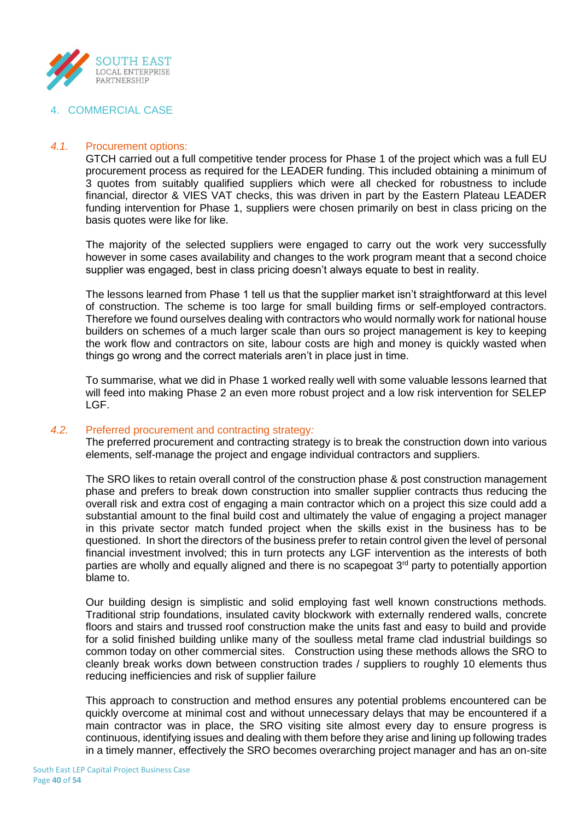

## 4. COMMERCIAL CASE

## *4.1.* Procurement options:

GTCH carried out a full competitive tender process for Phase 1 of the project which was a full EU procurement process as required for the LEADER funding. This included obtaining a minimum of 3 quotes from suitably qualified suppliers which were all checked for robustness to include financial, director & VIES VAT checks, this was driven in part by the Eastern Plateau LEADER funding intervention for Phase 1, suppliers were chosen primarily on best in class pricing on the basis quotes were like for like.

The majority of the selected suppliers were engaged to carry out the work very successfully however in some cases availability and changes to the work program meant that a second choice supplier was engaged, best in class pricing doesn't always equate to best in reality.

The lessons learned from Phase 1 tell us that the supplier market isn't straightforward at this level of construction. The scheme is too large for small building firms or self-employed contractors. Therefore we found ourselves dealing with contractors who would normally work for national house builders on schemes of a much larger scale than ours so project management is key to keeping the work flow and contractors on site, labour costs are high and money is quickly wasted when things go wrong and the correct materials aren't in place just in time.

To summarise, what we did in Phase 1 worked really well with some valuable lessons learned that will feed into making Phase 2 an even more robust project and a low risk intervention for SELEP LGF.

## *4.2.* Preferred procurement and contracting strategy*:*

The preferred procurement and contracting strategy is to break the construction down into various elements, self-manage the project and engage individual contractors and suppliers.

The SRO likes to retain overall control of the construction phase & post construction management phase and prefers to break down construction into smaller supplier contracts thus reducing the overall risk and extra cost of engaging a main contractor which on a project this size could add a substantial amount to the final build cost and ultimately the value of engaging a project manager in this private sector match funded project when the skills exist in the business has to be questioned. In short the directors of the business prefer to retain control given the level of personal financial investment involved; this in turn protects any LGF intervention as the interests of both parties are wholly and equally aligned and there is no scapegoat  $3<sup>rd</sup>$  party to potentially apportion blame to.

Our building design is simplistic and solid employing fast well known constructions methods. Traditional strip foundations, insulated cavity blockwork with externally rendered walls, concrete floors and stairs and trussed roof construction make the units fast and easy to build and provide for a solid finished building unlike many of the soulless metal frame clad industrial buildings so common today on other commercial sites. Construction using these methods allows the SRO to cleanly break works down between construction trades / suppliers to roughly 10 elements thus reducing inefficiencies and risk of supplier failure

This approach to construction and method ensures any potential problems encountered can be quickly overcome at minimal cost and without unnecessary delays that may be encountered if a main contractor was in place, the SRO visiting site almost every day to ensure progress is continuous, identifying issues and dealing with them before they arise and lining up following trades in a timely manner, effectively the SRO becomes overarching project manager and has an on-site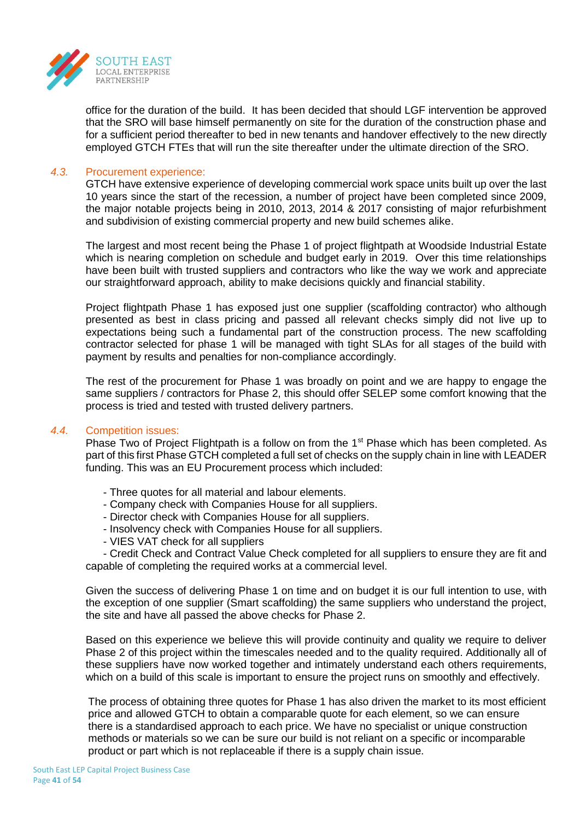

office for the duration of the build. It has been decided that should LGF intervention be approved that the SRO will base himself permanently on site for the duration of the construction phase and for a sufficient period thereafter to bed in new tenants and handover effectively to the new directly employed GTCH FTEs that will run the site thereafter under the ultimate direction of the SRO.

## *4.3.* Procurement experience:

GTCH have extensive experience of developing commercial work space units built up over the last 10 years since the start of the recession, a number of project have been completed since 2009, the major notable projects being in 2010, 2013, 2014 & 2017 consisting of major refurbishment and subdivision of existing commercial property and new build schemes alike.

The largest and most recent being the Phase 1 of project flightpath at Woodside Industrial Estate which is nearing completion on schedule and budget early in 2019. Over this time relationships have been built with trusted suppliers and contractors who like the way we work and appreciate our straightforward approach, ability to make decisions quickly and financial stability.

Project flightpath Phase 1 has exposed just one supplier (scaffolding contractor) who although presented as best in class pricing and passed all relevant checks simply did not live up to expectations being such a fundamental part of the construction process. The new scaffolding contractor selected for phase 1 will be managed with tight SLAs for all stages of the build with payment by results and penalties for non-compliance accordingly.

The rest of the procurement for Phase 1 was broadly on point and we are happy to engage the same suppliers / contractors for Phase 2, this should offer SELEP some comfort knowing that the process is tried and tested with trusted delivery partners.

## *4.4.* Competition issues:

Phase Two of Project Flightpath is a follow on from the 1<sup>st</sup> Phase which has been completed. As part of this first Phase GTCH completed a full set of checks on the supply chain in line with LEADER funding. This was an EU Procurement process which included:

- Three quotes for all material and labour elements.
- Company check with Companies House for all suppliers.
- Director check with Companies House for all suppliers.
- Insolvency check with Companies House for all suppliers.
- VIES VAT check for all suppliers

- Credit Check and Contract Value Check completed for all suppliers to ensure they are fit and capable of completing the required works at a commercial level.

Given the success of delivering Phase 1 on time and on budget it is our full intention to use, with the exception of one supplier (Smart scaffolding) the same suppliers who understand the project, the site and have all passed the above checks for Phase 2.

Based on this experience we believe this will provide continuity and quality we require to deliver Phase 2 of this project within the timescales needed and to the quality required. Additionally all of these suppliers have now worked together and intimately understand each others requirements, which on a build of this scale is important to ensure the project runs on smoothly and effectively.

The process of obtaining three quotes for Phase 1 has also driven the market to its most efficient price and allowed GTCH to obtain a comparable quote for each element, so we can ensure there is a standardised approach to each price. We have no specialist or unique construction methods or materials so we can be sure our build is not reliant on a specific or incomparable product or part which is not replaceable if there is a supply chain issue.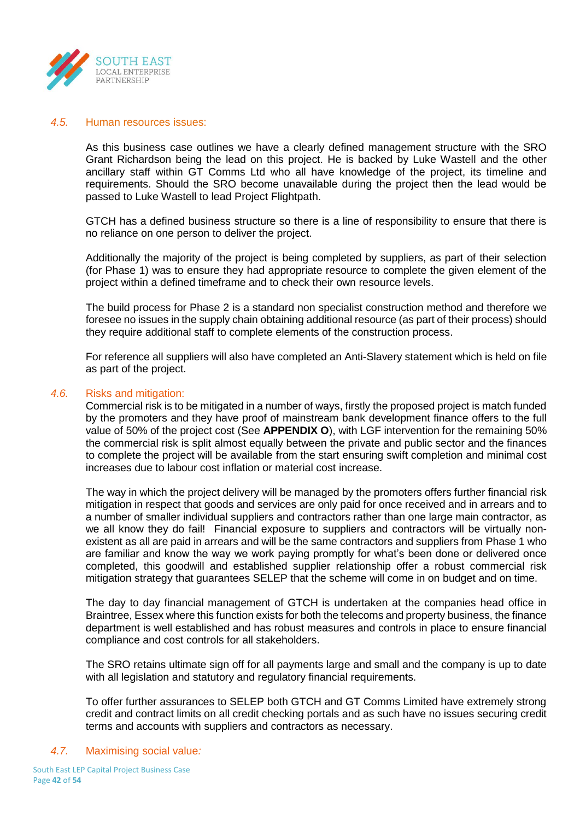

#### *4.5.* Human resources issues:

As this business case outlines we have a clearly defined management structure with the SRO Grant Richardson being the lead on this project. He is backed by Luke Wastell and the other ancillary staff within GT Comms Ltd who all have knowledge of the project, its timeline and requirements. Should the SRO become unavailable during the project then the lead would be passed to Luke Wastell to lead Project Flightpath.

GTCH has a defined business structure so there is a line of responsibility to ensure that there is no reliance on one person to deliver the project.

Additionally the majority of the project is being completed by suppliers, as part of their selection (for Phase 1) was to ensure they had appropriate resource to complete the given element of the project within a defined timeframe and to check their own resource levels.

The build process for Phase 2 is a standard non specialist construction method and therefore we foresee no issues in the supply chain obtaining additional resource (as part of their process) should they require additional staff to complete elements of the construction process.

For reference all suppliers will also have completed an Anti-Slavery statement which is held on file as part of the project.

#### *4.6.* Risks and mitigation:

Commercial risk is to be mitigated in a number of ways, firstly the proposed project is match funded by the promoters and they have proof of mainstream bank development finance offers to the full value of 50% of the project cost (See **APPENDIX O**), with LGF intervention for the remaining 50% the commercial risk is split almost equally between the private and public sector and the finances to complete the project will be available from the start ensuring swift completion and minimal cost increases due to labour cost inflation or material cost increase.

The way in which the project delivery will be managed by the promoters offers further financial risk mitigation in respect that goods and services are only paid for once received and in arrears and to a number of smaller individual suppliers and contractors rather than one large main contractor, as we all know they do fail! Financial exposure to suppliers and contractors will be virtually nonexistent as all are paid in arrears and will be the same contractors and suppliers from Phase 1 who are familiar and know the way we work paying promptly for what's been done or delivered once completed, this goodwill and established supplier relationship offer a robust commercial risk mitigation strategy that guarantees SELEP that the scheme will come in on budget and on time.

The day to day financial management of GTCH is undertaken at the companies head office in Braintree, Essex where this function exists for both the telecoms and property business, the finance department is well established and has robust measures and controls in place to ensure financial compliance and cost controls for all stakeholders.

The SRO retains ultimate sign off for all payments large and small and the company is up to date with all legislation and statutory and regulatory financial requirements.

To offer further assurances to SELEP both GTCH and GT Comms Limited have extremely strong credit and contract limits on all credit checking portals and as such have no issues securing credit terms and accounts with suppliers and contractors as necessary.

## *4.7.* Maximising social value*:*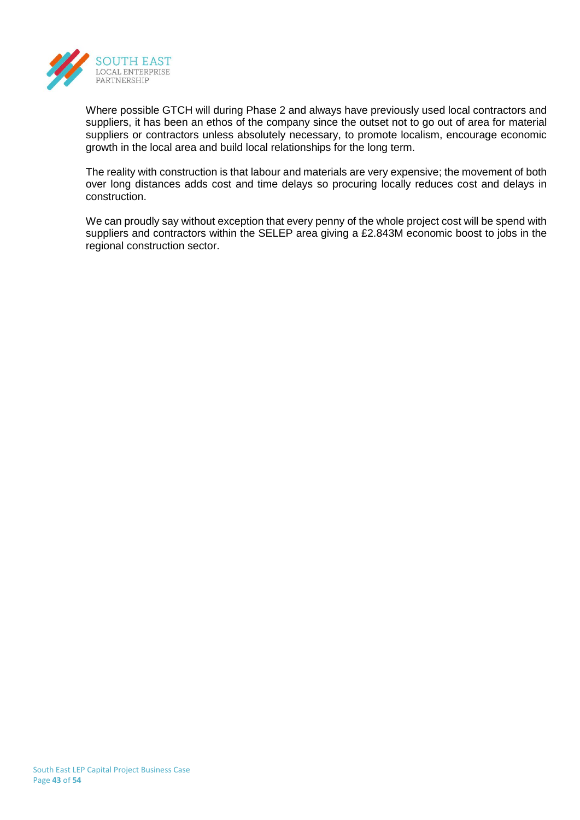

Where possible GTCH will during Phase 2 and always have previously used local contractors and suppliers, it has been an ethos of the company since the outset not to go out of area for material suppliers or contractors unless absolutely necessary, to promote localism, encourage economic growth in the local area and build local relationships for the long term.

The reality with construction is that labour and materials are very expensive; the movement of both over long distances adds cost and time delays so procuring locally reduces cost and delays in construction.

We can proudly say without exception that every penny of the whole project cost will be spend with suppliers and contractors within the SELEP area giving a £2.843M economic boost to jobs in the regional construction sector.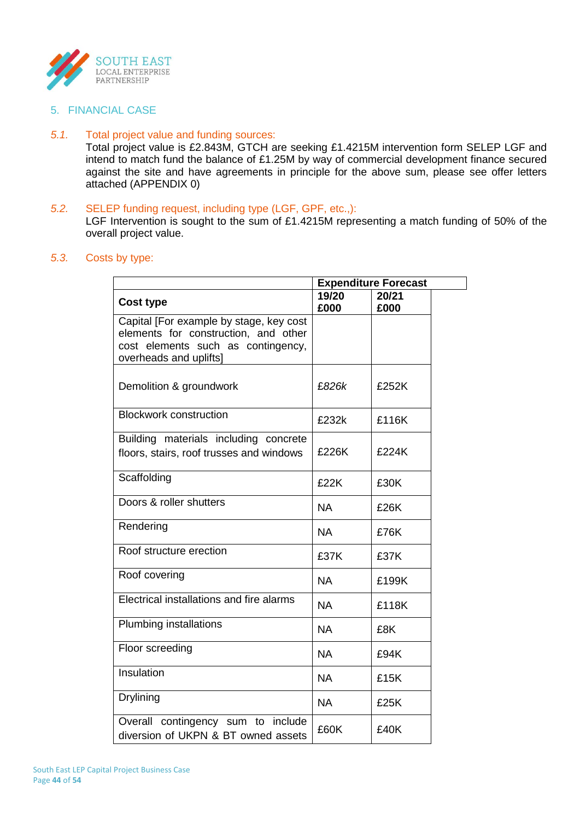

5. FINANCIAL CASE

#### *5.1.* Total project value and funding sources:

Total project value is £2.843M, GTCH are seeking £1.4215M intervention form SELEP LGF and intend to match fund the balance of £1.25M by way of commercial development finance secured against the site and have agreements in principle for the above sum, please see offer letters attached (APPENDIX 0)

## *5.2.* SELEP funding request, including type (LGF, GPF, etc.,):

LGF Intervention is sought to the sum of £1.4215M representing a match funding of 50% of the overall project value.

## *5.3.* Costs by type:

|                                                                                                                                                 |               | <b>Expenditure Forecast</b> |
|-------------------------------------------------------------------------------------------------------------------------------------------------|---------------|-----------------------------|
| <b>Cost type</b>                                                                                                                                | 19/20<br>£000 | 20/21<br>£000               |
| Capital [For example by stage, key cost<br>elements for construction, and other<br>cost elements such as contingency,<br>overheads and uplifts] |               |                             |
| Demolition & groundwork                                                                                                                         | £826k         | £252K                       |
| <b>Blockwork construction</b>                                                                                                                   | £232k         | £116K                       |
| Building materials including concrete<br>floors, stairs, roof trusses and windows                                                               | £226K         | £224K                       |
| Scaffolding                                                                                                                                     | £22K          | £30K                        |
| Doors & roller shutters                                                                                                                         | <b>NA</b>     | £26K                        |
| Rendering                                                                                                                                       | <b>NA</b>     | £76K                        |
| Roof structure erection                                                                                                                         | £37K          | £37K                        |
| Roof covering                                                                                                                                   | <b>NA</b>     | £199K                       |
| Electrical installations and fire alarms                                                                                                        | <b>NA</b>     | £118K                       |
| <b>Plumbing installations</b>                                                                                                                   | <b>NA</b>     | £8K                         |
| Floor screeding                                                                                                                                 | <b>NA</b>     | £94K                        |
| Insulation                                                                                                                                      | <b>NA</b>     | £15K                        |
| <b>Drylining</b>                                                                                                                                | <b>NA</b>     | £25K                        |
| Overall contingency sum to include<br>diversion of UKPN & BT owned assets                                                                       | £60K          | £40K                        |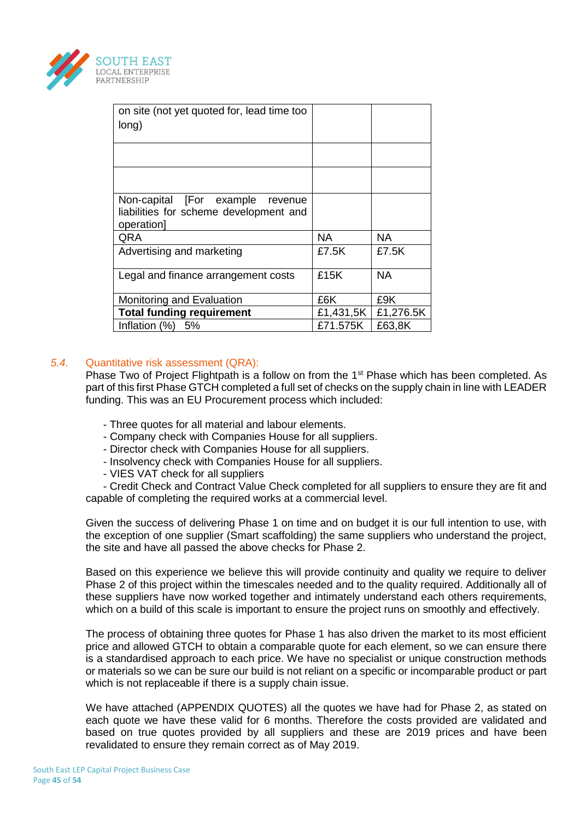

| on site (not yet quoted for, lead time too<br>long)                                         |                   |           |
|---------------------------------------------------------------------------------------------|-------------------|-----------|
|                                                                                             |                   |           |
|                                                                                             |                   |           |
| Non-capital [For example<br>revenue<br>liabilities for scheme development and<br>operation] |                   |           |
| QRA                                                                                         | NA.               | <b>NA</b> |
| Advertising and marketing                                                                   | £7.5K             | £7.5K     |
| Legal and finance arrangement costs                                                         | £15K              | <b>NA</b> |
| Monitoring and Evaluation                                                                   | £6K               | £9K       |
| <b>Total funding requirement</b>                                                            | £1,431,5 $K \mid$ | £1,276.5K |
| Inflation (%)<br>5%                                                                         | £71.575K          | £63,8K    |

## *5.4.* Quantitative risk assessment (QRA):

Phase Two of Project Flightpath is a follow on from the 1<sup>st</sup> Phase which has been completed. As part of this first Phase GTCH completed a full set of checks on the supply chain in line with LEADER funding. This was an EU Procurement process which included:

- Three quotes for all material and labour elements.
- Company check with Companies House for all suppliers.
- Director check with Companies House for all suppliers.
- Insolvency check with Companies House for all suppliers.
- VIES VAT check for all suppliers

- Credit Check and Contract Value Check completed for all suppliers to ensure they are fit and capable of completing the required works at a commercial level.

Given the success of delivering Phase 1 on time and on budget it is our full intention to use, with the exception of one supplier (Smart scaffolding) the same suppliers who understand the project, the site and have all passed the above checks for Phase 2.

Based on this experience we believe this will provide continuity and quality we require to deliver Phase 2 of this project within the timescales needed and to the quality required. Additionally all of these suppliers have now worked together and intimately understand each others requirements, which on a build of this scale is important to ensure the project runs on smoothly and effectively.

The process of obtaining three quotes for Phase 1 has also driven the market to its most efficient price and allowed GTCH to obtain a comparable quote for each element, so we can ensure there is a standardised approach to each price. We have no specialist or unique construction methods or materials so we can be sure our build is not reliant on a specific or incomparable product or part which is not replaceable if there is a supply chain issue.

We have attached (APPENDIX QUOTES) all the quotes we have had for Phase 2, as stated on each quote we have these valid for 6 months. Therefore the costs provided are validated and based on true quotes provided by all suppliers and these are 2019 prices and have been revalidated to ensure they remain correct as of May 2019.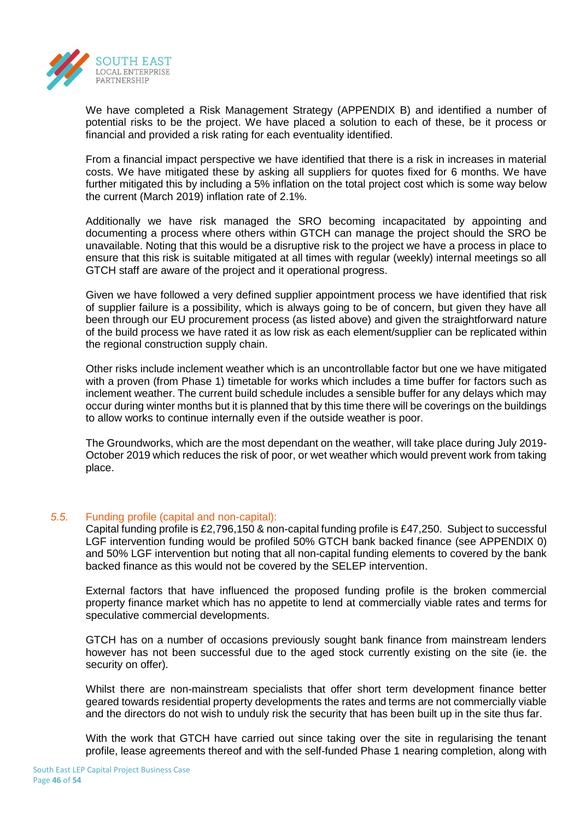

We have completed a Risk Management Strategy (APPENDIX B) and identified a number of potential risks to be the project. We have placed a solution to each of these, be it process or financial and provided a risk rating for each eventuality identified.

From a financial impact perspective we have identified that there is a risk in increases in material costs. We have mitigated these by asking all suppliers for quotes fixed for 6 months. We have further mitigated this by including a 5% inflation on the total project cost which is some way below the current (March 2019) inflation rate of 2.1%.

Additionally we have risk managed the SRO becoming incapacitated by appointing and documenting a process where others within GTCH can manage the project should the SRO be unavailable. Noting that this would be a disruptive risk to the project we have a process in place to ensure that this risk is suitable mitigated at all times with regular (weekly) internal meetings so all GTCH staff are aware of the project and it operational progress.

Given we have followed a very defined supplier appointment process we have identified that risk of supplier failure is a possibility, which is always going to be of concern, but given they have all been through our EU procurement process (as listed above) and given the straightforward nature of the build process we have rated it as low risk as each element/supplier can be replicated within the regional construction supply chain.

Other risks include inclement weather which is an uncontrollable factor but one we have mitigated with a proven (from Phase 1) timetable for works which includes a time buffer for factors such as inclement weather. The current build schedule includes a sensible buffer for any delays which may occur during winter months but it is planned that by this time there will be coverings on the buildings to allow works to continue internally even if the outside weather is poor.

The Groundworks, which are the most dependant on the weather, will take place during July 2019- October 2019 which reduces the risk of poor, or wet weather which would prevent work from taking place.

## *5.5.* Funding profile (capital and non-capital):

Capital funding profile is £2,796,150 & non-capital funding profile is £47,250. Subject to successful LGF intervention funding would be profiled 50% GTCH bank backed finance (see APPENDIX 0) and 50% LGF intervention but noting that all non-capital funding elements to covered by the bank backed finance as this would not be covered by the SELEP intervention.

External factors that have influenced the proposed funding profile is the broken commercial property finance market which has no appetite to lend at commercially viable rates and terms for speculative commercial developments.

GTCH has on a number of occasions previously sought bank finance from mainstream lenders however has not been successful due to the aged stock currently existing on the site (ie. the security on offer).

Whilst there are non-mainstream specialists that offer short term development finance better geared towards residential property developments the rates and terms are not commercially viable and the directors do not wish to unduly risk the security that has been built up in the site thus far.

With the work that GTCH have carried out since taking over the site in regularising the tenant profile, lease agreements thereof and with the self-funded Phase 1 nearing completion, along with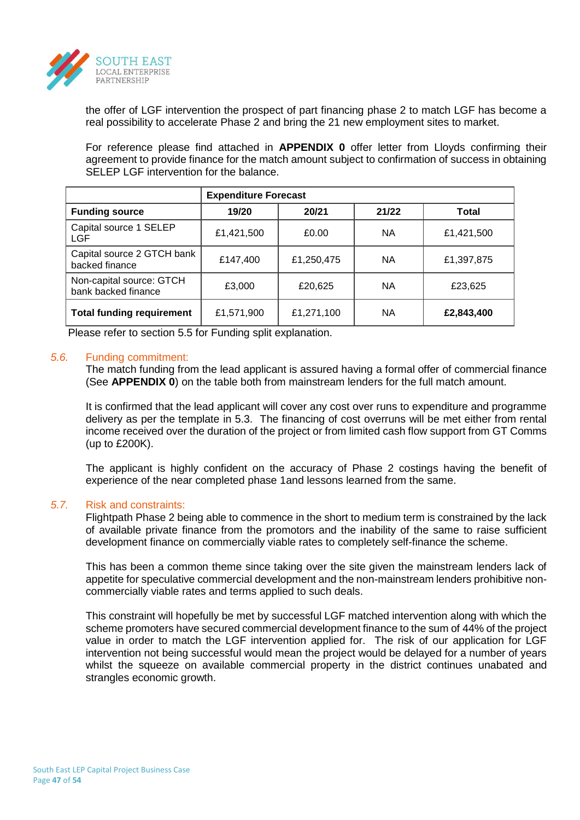

the offer of LGF intervention the prospect of part financing phase 2 to match LGF has become a real possibility to accelerate Phase 2 and bring the 21 new employment sites to market.

For reference please find attached in **APPENDIX 0** offer letter from Lloyds confirming their agreement to provide finance for the match amount subject to confirmation of success in obtaining SELEP LGF intervention for the balance.

|                                                 | <b>Expenditure Forecast</b> |            |       |            |
|-------------------------------------------------|-----------------------------|------------|-------|------------|
| <b>Funding source</b>                           | 19/20                       | 20/21      | 21/22 | Total      |
| Capital source 1 SELEP<br><b>LGF</b>            | £1,421,500                  | £0.00      | ΝA    | £1,421,500 |
| Capital source 2 GTCH bank<br>backed finance    | £147,400                    | £1,250,475 | ΝA    | £1,397,875 |
| Non-capital source: GTCH<br>bank backed finance | £3,000                      | £20,625    | ΝA    | £23,625    |
| <b>Total funding requirement</b>                | £1,571,900                  | £1,271,100 | ΝA    | £2,843,400 |

Please refer to section 5.5 for Funding split explanation.

## *5.6.* Funding commitment:

The match funding from the lead applicant is assured having a formal offer of commercial finance (See **APPENDIX 0**) on the table both from mainstream lenders for the full match amount.

It is confirmed that the lead applicant will cover any cost over runs to expenditure and programme delivery as per the template in 5.3. The financing of cost overruns will be met either from rental income received over the duration of the project or from limited cash flow support from GT Comms (up to £200K).

The applicant is highly confident on the accuracy of Phase 2 costings having the benefit of experience of the near completed phase 1and lessons learned from the same.

## *5.7.* Risk and constraints:

Flightpath Phase 2 being able to commence in the short to medium term is constrained by the lack of available private finance from the promotors and the inability of the same to raise sufficient development finance on commercially viable rates to completely self-finance the scheme.

This has been a common theme since taking over the site given the mainstream lenders lack of appetite for speculative commercial development and the non-mainstream lenders prohibitive noncommercially viable rates and terms applied to such deals.

This constraint will hopefully be met by successful LGF matched intervention along with which the scheme promoters have secured commercial development finance to the sum of 44% of the project value in order to match the LGF intervention applied for. The risk of our application for LGF intervention not being successful would mean the project would be delayed for a number of years whilst the squeeze on available commercial property in the district continues unabated and strangles economic growth.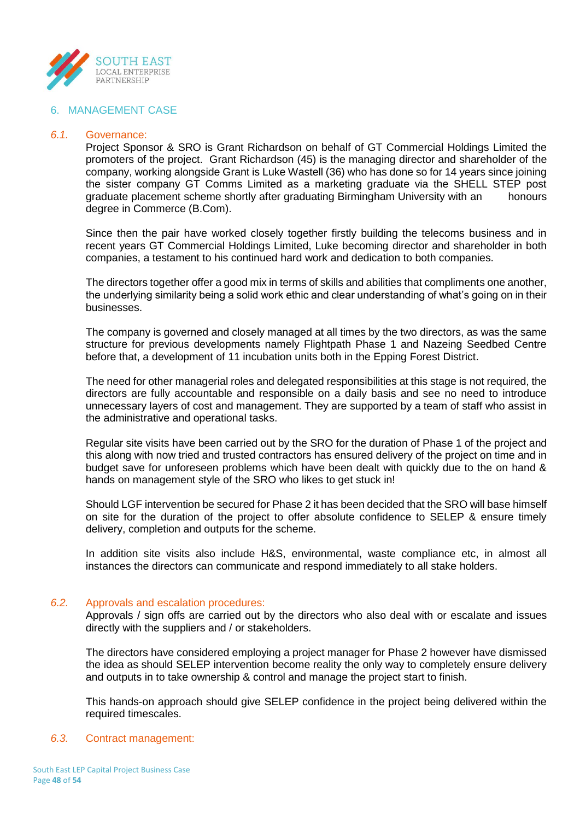

## 6. MANAGEMENT CASE

#### *6.1.* Governance:

Project Sponsor & SRO is Grant Richardson on behalf of GT Commercial Holdings Limited the promoters of the project. Grant Richardson (45) is the managing director and shareholder of the company, working alongside Grant is Luke Wastell (36) who has done so for 14 years since joining the sister company GT Comms Limited as a marketing graduate via the SHELL STEP post graduate placement scheme shortly after graduating Birmingham University with an honours degree in Commerce (B.Com).

Since then the pair have worked closely together firstly building the telecoms business and in recent years GT Commercial Holdings Limited, Luke becoming director and shareholder in both companies, a testament to his continued hard work and dedication to both companies.

The directors together offer a good mix in terms of skills and abilities that compliments one another, the underlying similarity being a solid work ethic and clear understanding of what's going on in their businesses.

The company is governed and closely managed at all times by the two directors, as was the same structure for previous developments namely Flightpath Phase 1 and Nazeing Seedbed Centre before that, a development of 11 incubation units both in the Epping Forest District.

The need for other managerial roles and delegated responsibilities at this stage is not required, the directors are fully accountable and responsible on a daily basis and see no need to introduce unnecessary layers of cost and management. They are supported by a team of staff who assist in the administrative and operational tasks.

Regular site visits have been carried out by the SRO for the duration of Phase 1 of the project and this along with now tried and trusted contractors has ensured delivery of the project on time and in budget save for unforeseen problems which have been dealt with quickly due to the on hand & hands on management style of the SRO who likes to get stuck in!

Should LGF intervention be secured for Phase 2 it has been decided that the SRO will base himself on site for the duration of the project to offer absolute confidence to SELEP & ensure timely delivery, completion and outputs for the scheme.

In addition site visits also include H&S, environmental, waste compliance etc, in almost all instances the directors can communicate and respond immediately to all stake holders.

## *6.2.* Approvals and escalation procedures:

Approvals / sign offs are carried out by the directors who also deal with or escalate and issues directly with the suppliers and / or stakeholders.

The directors have considered employing a project manager for Phase 2 however have dismissed the idea as should SELEP intervention become reality the only way to completely ensure delivery and outputs in to take ownership & control and manage the project start to finish.

This hands-on approach should give SELEP confidence in the project being delivered within the required timescales.

## *6.3.* Contract management: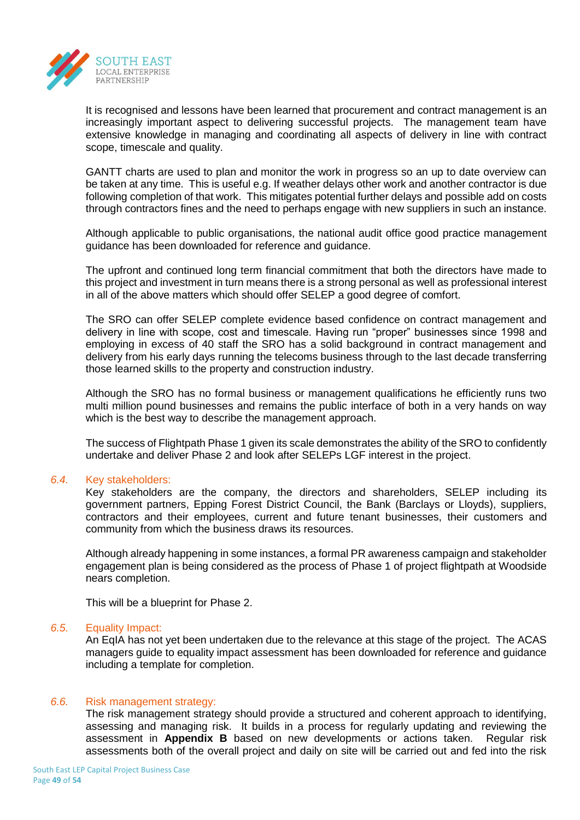

It is recognised and lessons have been learned that procurement and contract management is an increasingly important aspect to delivering successful projects. The management team have extensive knowledge in managing and coordinating all aspects of delivery in line with contract scope, timescale and quality.

GANTT charts are used to plan and monitor the work in progress so an up to date overview can be taken at any time. This is useful e.g. If weather delays other work and another contractor is due following completion of that work. This mitigates potential further delays and possible add on costs through contractors fines and the need to perhaps engage with new suppliers in such an instance.

Although applicable to public organisations, the national audit office good practice management guidance has been downloaded for reference and guidance.

The upfront and continued long term financial commitment that both the directors have made to this project and investment in turn means there is a strong personal as well as professional interest in all of the above matters which should offer SELEP a good degree of comfort.

The SRO can offer SELEP complete evidence based confidence on contract management and delivery in line with scope, cost and timescale. Having run "proper" businesses since 1998 and employing in excess of 40 staff the SRO has a solid background in contract management and delivery from his early days running the telecoms business through to the last decade transferring those learned skills to the property and construction industry.

Although the SRO has no formal business or management qualifications he efficiently runs two multi million pound businesses and remains the public interface of both in a very hands on way which is the best way to describe the management approach.

The success of Flightpath Phase 1 given its scale demonstrates the ability of the SRO to confidently undertake and deliver Phase 2 and look after SELEPs LGF interest in the project.

## *6.4.* Key stakeholders:

Key stakeholders are the company, the directors and shareholders, SELEP including its government partners, Epping Forest District Council, the Bank (Barclays or Lloyds), suppliers, contractors and their employees, current and future tenant businesses, their customers and community from which the business draws its resources.

Although already happening in some instances, a formal PR awareness campaign and stakeholder engagement plan is being considered as the process of Phase 1 of project flightpath at Woodside nears completion.

This will be a blueprint for Phase 2.

## *6.5.* Equality Impact:

An EqIA has not yet been undertaken due to the relevance at this stage of the project. The ACAS managers guide to equality impact assessment has been downloaded for reference and guidance including a template for completion.

## *6.6.* Risk management strategy:

The risk management strategy should provide a structured and coherent approach to identifying, assessing and managing risk. It builds in a process for regularly updating and reviewing the assessment in **Appendix B** based on new developments or actions taken. Regular risk assessments both of the overall project and daily on site will be carried out and fed into the risk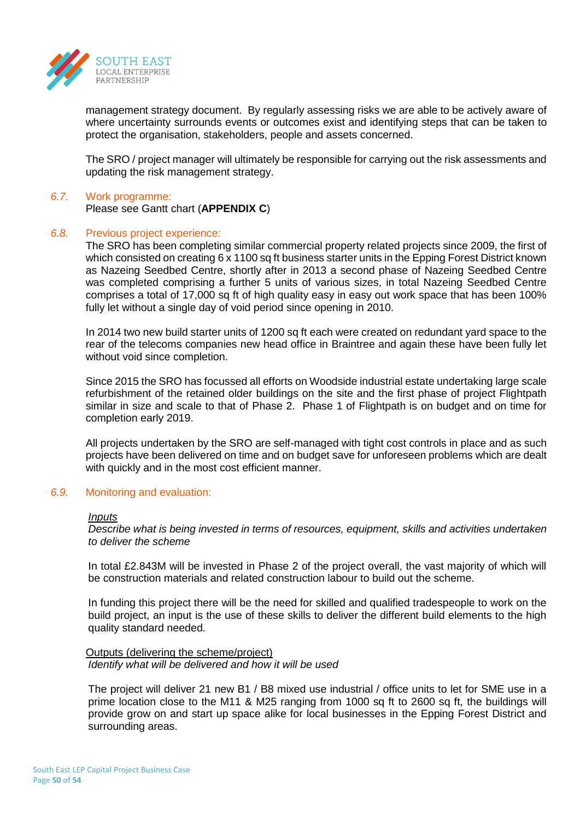

management strategy document. By regularly assessing risks we are able to be actively aware of where uncertainty surrounds events or outcomes exist and identifying steps that can be taken to protect the organisation, stakeholders, people and assets concerned.

The SRO / project manager will ultimately be responsible for carrying out the risk assessments and updating the risk management strategy.

#### *6.7.* Work programme:

Please see Gantt chart (**APPENDIX C**)

#### *6.8.* Previous project experience:

The SRO has been completing similar commercial property related projects since 2009, the first of which consisted on creating 6 x 1100 sq ft business starter units in the Epping Forest District known as Nazeing Seedbed Centre, shortly after in 2013 a second phase of Nazeing Seedbed Centre was completed comprising a further 5 units of various sizes, in total Nazeing Seedbed Centre comprises a total of 17,000 sq ft of high quality easy in easy out work space that has been 100% fully let without a single day of void period since opening in 2010.

In 2014 two new build starter units of 1200 sq ft each were created on redundant yard space to the rear of the telecoms companies new head office in Braintree and again these have been fully let without void since completion.

Since 2015 the SRO has focussed all efforts on Woodside industrial estate undertaking large scale refurbishment of the retained older buildings on the site and the first phase of project Flightpath similar in size and scale to that of Phase 2. Phase 1 of Flightpath is on budget and on time for completion early 2019.

All projects undertaken by the SRO are self-managed with tight cost controls in place and as such projects have been delivered on time and on budget save for unforeseen problems which are dealt with quickly and in the most cost efficient manner.

## *6.9.* Monitoring and evaluation:

#### *Inputs*

*Describe what is being invested in terms of resources, equipment, skills and activities undertaken to deliver the scheme*

In total £2.843M will be invested in Phase 2 of the project overall, the vast majority of which will be construction materials and related construction labour to build out the scheme.

In funding this project there will be the need for skilled and qualified tradespeople to work on the build project, an input is the use of these skills to deliver the different build elements to the high quality standard needed.

#### Outputs (delivering the scheme/project) *Identify what will be delivered and how it will be used*

The project will deliver 21 new B1 / B8 mixed use industrial / office units to let for SME use in a prime location close to the M11 & M25 ranging from 1000 sq ft to 2600 sq ft, the buildings will provide grow on and start up space alike for local businesses in the Epping Forest District and surrounding areas.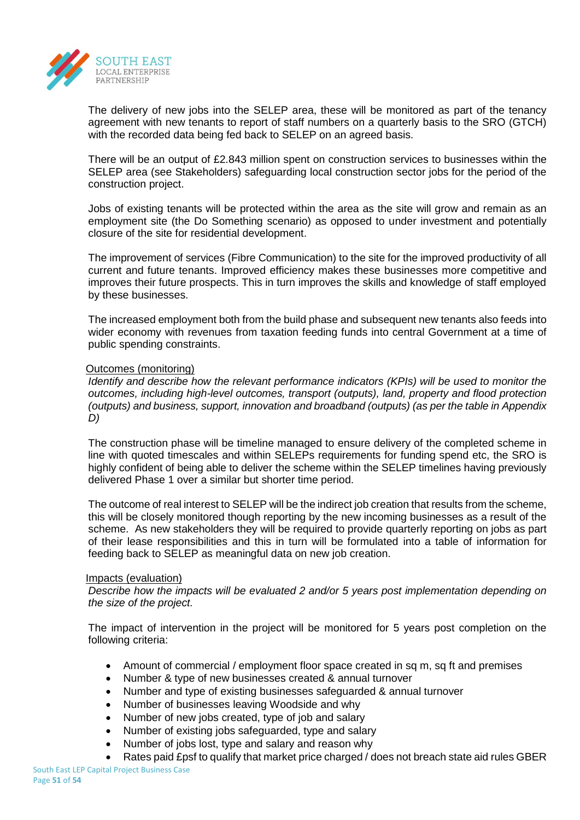

The delivery of new jobs into the SELEP area, these will be monitored as part of the tenancy agreement with new tenants to report of staff numbers on a quarterly basis to the SRO (GTCH) with the recorded data being fed back to SELEP on an agreed basis.

There will be an output of £2.843 million spent on construction services to businesses within the SELEP area (see Stakeholders) safeguarding local construction sector jobs for the period of the construction project.

Jobs of existing tenants will be protected within the area as the site will grow and remain as an employment site (the Do Something scenario) as opposed to under investment and potentially closure of the site for residential development.

The improvement of services (Fibre Communication) to the site for the improved productivity of all current and future tenants. Improved efficiency makes these businesses more competitive and improves their future prospects. This in turn improves the skills and knowledge of staff employed by these businesses.

The increased employment both from the build phase and subsequent new tenants also feeds into wider economy with revenues from taxation feeding funds into central Government at a time of public spending constraints.

## Outcomes (monitoring)

*Identify and describe how the relevant performance indicators (KPIs) will be used to monitor the outcomes, including high-level outcomes, transport (outputs), land, property and flood protection (outputs) and business, support, innovation and broadband (outputs) (as per the table in Appendix D)*

The construction phase will be timeline managed to ensure delivery of the completed scheme in line with quoted timescales and within SELEPs requirements for funding spend etc, the SRO is highly confident of being able to deliver the scheme within the SELEP timelines having previously delivered Phase 1 over a similar but shorter time period.

The outcome of real interest to SELEP will be the indirect job creation that results from the scheme, this will be closely monitored though reporting by the new incoming businesses as a result of the scheme. As new stakeholders they will be required to provide quarterly reporting on jobs as part of their lease responsibilities and this in turn will be formulated into a table of information for feeding back to SELEP as meaningful data on new job creation.

## Impacts (evaluation)

*Describe how the impacts will be evaluated 2 and/or 5 years post implementation depending on the size of the project.* 

The impact of intervention in the project will be monitored for 5 years post completion on the following criteria:

- Amount of commercial / employment floor space created in sq m, sq ft and premises
- Number & type of new businesses created & annual turnover
- Number and type of existing businesses safeguarded & annual turnover
- Number of businesses leaving Woodside and why
- Number of new jobs created, type of job and salary
- Number of existing jobs safeguarded, type and salary
- Number of jobs lost, type and salary and reason why
- Rates paid £psf to qualify that market price charged / does not breach state aid rules GBER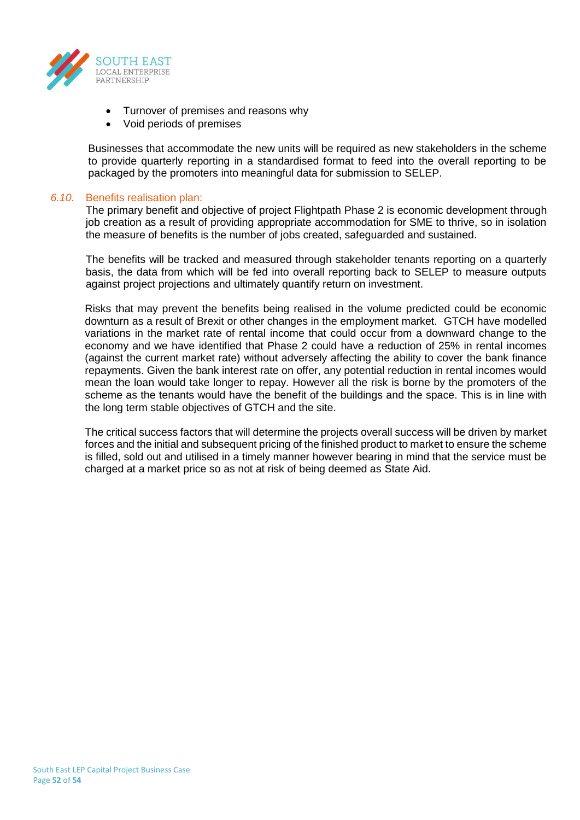

- Turnover of premises and reasons why
- Void periods of premises

Businesses that accommodate the new units will be required as new stakeholders in the scheme to provide quarterly reporting in a standardised format to feed into the overall reporting to be packaged by the promoters into meaningful data for submission to SELEP.

#### *6.10.* Benefits realisation plan:

The primary benefit and objective of project Flightpath Phase 2 is economic development through job creation as a result of providing appropriate accommodation for SME to thrive, so in isolation the measure of benefits is the number of jobs created, safeguarded and sustained.

The benefits will be tracked and measured through stakeholder tenants reporting on a quarterly basis, the data from which will be fed into overall reporting back to SELEP to measure outputs against project projections and ultimately quantify return on investment.

Risks that may prevent the benefits being realised in the volume predicted could be economic downturn as a result of Brexit or other changes in the employment market. GTCH have modelled variations in the market rate of rental income that could occur from a downward change to the economy and we have identified that Phase 2 could have a reduction of 25% in rental incomes (against the current market rate) without adversely affecting the ability to cover the bank finance repayments. Given the bank interest rate on offer, any potential reduction in rental incomes would mean the loan would take longer to repay. However all the risk is borne by the promoters of the scheme as the tenants would have the benefit of the buildings and the space. This is in line with the long term stable objectives of GTCH and the site.

The critical success factors that will determine the projects overall success will be driven by market forces and the initial and subsequent pricing of the finished product to market to ensure the scheme is filled, sold out and utilised in a timely manner however bearing in mind that the service must be charged at a market price so as not at risk of being deemed as State Aid.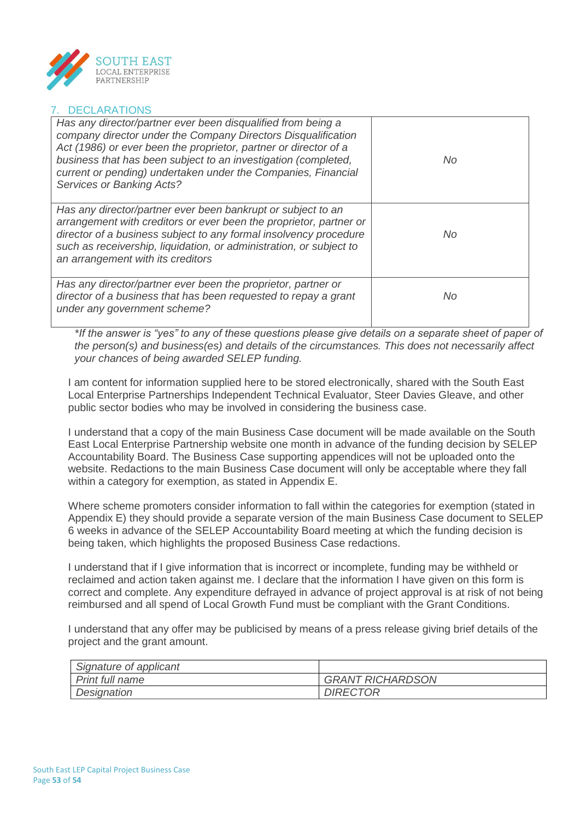

## 7. DECLARATIONS

| Has any director/partner ever been disqualified from being a<br>company director under the Company Directors Disqualification<br>Act (1986) or ever been the proprietor, partner or director of a<br>business that has been subject to an investigation (completed,<br>current or pending) undertaken under the Companies, Financial<br><b>Services or Banking Acts?</b> | No. |
|--------------------------------------------------------------------------------------------------------------------------------------------------------------------------------------------------------------------------------------------------------------------------------------------------------------------------------------------------------------------------|-----|
| Has any director/partner ever been bankrupt or subject to an<br>arrangement with creditors or ever been the proprietor, partner or<br>director of a business subject to any formal insolvency procedure<br>such as receivership, liquidation, or administration, or subject to<br>an arrangement with its creditors                                                      | No. |
| Has any director/partner ever been the proprietor, partner or<br>director of a business that has been requested to repay a grant<br>under any government scheme?                                                                                                                                                                                                         | No  |

*\*If the answer is "yes" to any of these questions please give details on a separate sheet of paper of the person(s) and business(es) and details of the circumstances. This does not necessarily affect your chances of being awarded SELEP funding.*

I am content for information supplied here to be stored electronically, shared with the South East Local Enterprise Partnerships Independent Technical Evaluator, Steer Davies Gleave, and other public sector bodies who may be involved in considering the business case.

I understand that a copy of the main Business Case document will be made available on the South East Local Enterprise Partnership website one month in advance of the funding decision by SELEP Accountability Board. The Business Case supporting appendices will not be uploaded onto the website. Redactions to the main Business Case document will only be acceptable where they fall within a category for exemption, as stated in Appendix E.

Where scheme promoters consider information to fall within the categories for exemption (stated in Appendix E) they should provide a separate version of the main Business Case document to SELEP 6 weeks in advance of the SELEP Accountability Board meeting at which the funding decision is being taken, which highlights the proposed Business Case redactions.

I understand that if I give information that is incorrect or incomplete, funding may be withheld or reclaimed and action taken against me. I declare that the information I have given on this form is correct and complete. Any expenditure defrayed in advance of project approval is at risk of not being reimbursed and all spend of Local Growth Fund must be compliant with the Grant Conditions.

I understand that any offer may be publicised by means of a press release giving brief details of the project and the grant amount.

| Signature of applicant |                         |
|------------------------|-------------------------|
| <b>Print full name</b> | <b>GRANT RICHARDSON</b> |
| Designation            | <b>DIRECTOR</b>         |